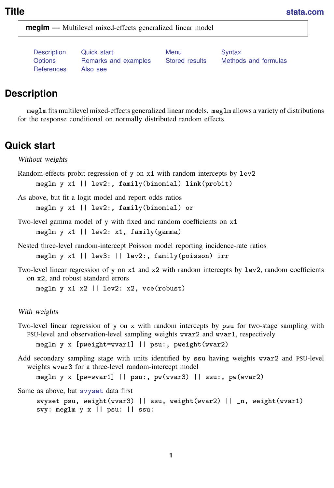<span id="page-0-2"></span>**Title [stata.com](http://stata.com)**

**meglm —** Multilevel mixed-effects generalized linear model

[References](#page-28-0) [Also see](#page-30-0)

[Description](#page-0-0) [Quick start](#page-0-1) **[Menu](#page-1-0)** [Syntax](#page-1-1) [Options](#page-4-0) [Remarks and examples](#page-8-0) [Stored results](#page-23-0) [Methods and formulas](#page-24-0)

## <span id="page-0-0"></span>**Description**

<span id="page-0-1"></span>meglm fits multilevel mixed-effects generalized linear models. meglm allows a variety of distributions for the response conditional on normally distributed random effects.

## **Quick start**

Without weights

Random-effects probit regression of y on x1 with random intercepts by lev2 meglm y x1 || lev2:, family(binomial) link(probit)

As above, but fit a logit model and report odds ratios meglm y x1 || lev2:, family(binomial) or

Two-level gamma model of y with fixed and random coefficients on x1 meglm y x1 || lev2: x1, family(gamma)

Nested three-level random-intercept Poisson model reporting incidence-rate ratios meglm y x1 || lev3: || lev2:, family(poisson) irr

Two-level linear regression of y on x1 and x2 with random intercepts by lev2, random coefficients on x2, and robust standard errors meglm y x1 x2 || lev2: x2, vce(robust)

With weights

Two-level linear regression of y on x with random intercepts by psu for two-stage sampling with PSU-level and observation-level sampling weights wvar2 and wvar1, respectively

meglm y x [pweight=wvar1] || psu:, pweight(wvar2)

Add secondary sampling stage with units identified by ssu having weights wvar2 and PSU-level weights wvar3 for a three-level random-intercept model

meglm y x [pw=wvar1] || psu:, pw(wvar3) || ssu:, pw(wvar2)

Same as above, but [svyset](https://www.stata.com/manuals/svysvyset.pdf#svysvyset) data first

svyset psu, weight(wvar3) || ssu, weight(wvar2) || \_n, weight(wvar1) svy: meglm y x || psu: || ssu: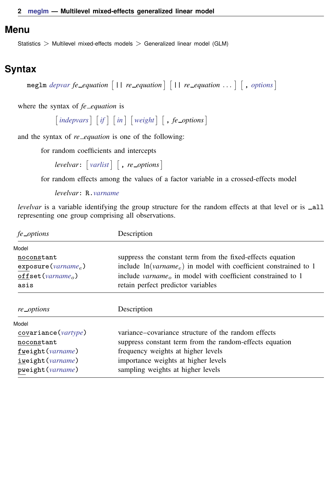## <span id="page-1-0"></span>**Menu**

<span id="page-1-1"></span>Statistics > Multilevel mixed-effects models > Generalized linear model (GLM)

# **Syntax**

 $\mathbb{R}$  **r** *equation*  $\begin{bmatrix} 1 \\ 1 \end{bmatrix}$  *re\_equation*  $\begin{bmatrix} 1 \\ 1 \end{bmatrix}$  *re\_equation* ...  $\begin{bmatrix} 0 \\ 1 \end{bmatrix}$  *[options](#page-2-0)* 

where the syntax of *fe equation* is

 $\begin{bmatrix} indepvars \end{bmatrix}$  $\begin{bmatrix} indepvars \end{bmatrix}$  $\begin{bmatrix} indepvars \end{bmatrix}$   $\begin{bmatrix} if \end{bmatrix}$  $\begin{bmatrix} if \end{bmatrix}$  $\begin{bmatrix} if \end{bmatrix}$   $\begin{bmatrix} in \end{bmatrix}$  $\begin{bmatrix} in \end{bmatrix}$  $\begin{bmatrix} in \end{bmatrix}$   $\begin{bmatrix} weight \end{bmatrix}$  $\begin{bmatrix} weight \end{bmatrix}$  $\begin{bmatrix} weight \end{bmatrix}$   $\begin{bmatrix} , fe\_{options} \end{bmatrix}$ 

and the syntax of *re\_equation* is one of the following:

for random coefficients and intercepts

 $levelvar:$   $\lceil \text{varlist} \rceil$  $\lceil \text{varlist} \rceil$  $\lceil \text{varlist} \rceil$   $\lceil$  , *re options*  $\lceil$ 

for random effects among the values of a factor variable in a crossed-effects model

*levelvar*: R.*[varname](https://www.stata.com/manuals/u11.pdf#u11.4varnameandvarlists)*

*levelvar* is a variable identifying the group structure for the random effects at that level or is \_all representing one group comprising all observations.

| fe_options                                                            | Description                                                             |  |  |
|-----------------------------------------------------------------------|-------------------------------------------------------------------------|--|--|
| Model                                                                 |                                                                         |  |  |
| noconstant                                                            | suppress the constant term from the fixed-effects equation              |  |  |
| $\exposure(varname_e)$                                                | include $ln(varname_e)$ in model with coefficient constrained to 1      |  |  |
| offset ( $varname_o$ )                                                | include varname <sub>o</sub> in model with coefficient constrained to 1 |  |  |
| asis                                                                  | retain perfect predictor variables                                      |  |  |
| re_options                                                            | Description                                                             |  |  |
| Model                                                                 |                                                                         |  |  |
| covariance( <i>vartype</i> )                                          | variance–covariance structure of the random effects                     |  |  |
| suppress constant term from the random-effects equation<br>noconstant |                                                                         |  |  |
| frequency weights at higher levels<br>fweight (varname)               |                                                                         |  |  |
|                                                                       |                                                                         |  |  |
| iweight (varname)                                                     | importance weights at higher levels                                     |  |  |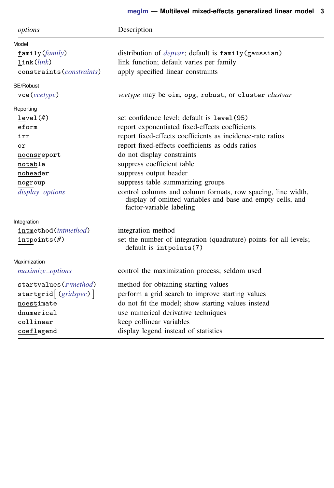<span id="page-2-1"></span><span id="page-2-0"></span>

| options                            | Description                                                                                                                                            |  |  |
|------------------------------------|--------------------------------------------------------------------------------------------------------------------------------------------------------|--|--|
| Model                              |                                                                                                                                                        |  |  |
| family (family)                    | distribution of <i>depvar</i> ; default is family (gaussian)                                                                                           |  |  |
| link(link)                         | link function; default varies per family                                                                                                               |  |  |
| constraints ( <i>constraints</i> ) | apply specified linear constraints                                                                                                                     |  |  |
| SE/Robust                          |                                                                                                                                                        |  |  |
| $\text{vec}(\text{vcetype})$       | <i>vcetype</i> may be oim, opg, robust, or cluster <i>clustvar</i>                                                                                     |  |  |
| Reporting                          |                                                                                                                                                        |  |  |
| level(f)                           | set confidence level; default is level(95)                                                                                                             |  |  |
| eform                              | report exponentiated fixed-effects coefficients                                                                                                        |  |  |
| irr                                | report fixed-effects coefficients as incidence-rate ratios                                                                                             |  |  |
| or                                 | report fixed-effects coefficients as odds ratios                                                                                                       |  |  |
| nocnsreport                        | do not display constraints                                                                                                                             |  |  |
| notable                            | suppress coefficient table                                                                                                                             |  |  |
| noheader                           | suppress output header                                                                                                                                 |  |  |
| nogroup                            | suppress table summarizing groups                                                                                                                      |  |  |
| display_options                    | control columns and column formats, row spacing, line width,<br>display of omitted variables and base and empty cells, and<br>factor-variable labeling |  |  |
| Integration                        |                                                                                                                                                        |  |  |
| intmethod( <i>intmethod</i> )      | integration method                                                                                                                                     |  |  |
| $intpoints(\#)$                    | set the number of integration (quadrature) points for all levels;<br>default is intpoints(7)                                                           |  |  |
| Maximization                       |                                                                                                                                                        |  |  |
| maximize_options                   | control the maximization process; seldom used                                                                                                          |  |  |
| startvalues (symethod)             | method for obtaining starting values                                                                                                                   |  |  |
| startgrid $(gridspec)$             | perform a grid search to improve starting values                                                                                                       |  |  |
| noestimate                         | do not fit the model; show starting values instead                                                                                                     |  |  |
| dnumerical                         | use numerical derivative techniques                                                                                                                    |  |  |
| collinear                          | keep collinear variables                                                                                                                               |  |  |
| coeflegend                         | display legend instead of statistics                                                                                                                   |  |  |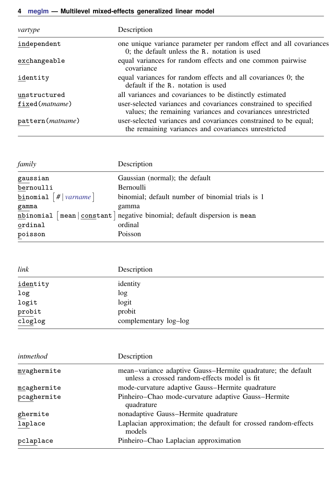## **4 [meglm](#page-0-2) — Multilevel mixed-effects generalized linear model**

| vartype                 | Description                                                                                                                      |
|-------------------------|----------------------------------------------------------------------------------------------------------------------------------|
| independent             | one unique variance parameter per random effect and all covariances<br>0; the default unless the R. notation is used             |
| exchangeable            | equal variances for random effects and one common pairwise<br>covariance                                                         |
| identity                | equal variances for random effects and all covariances 0; the<br>default if the R, notation is used                              |
| unstructured            | all variances and covariances to be distinctly estimated                                                                         |
| fixed( <i>matname</i> ) | user-selected variances and covariances constrained to specified<br>values; the remaining variances and covariances unrestricted |
| pattern (matname)       | user-selected variances and covariances constrained to be equal;<br>the remaining variances and covariances unrestricted         |

<span id="page-3-0"></span>

| family                             | Description                                                                |  |  |  |
|------------------------------------|----------------------------------------------------------------------------|--|--|--|
| gaussian                           | Gaussian (normal); the default                                             |  |  |  |
| bernoulli                          | Bernoulli                                                                  |  |  |  |
| binomial $\lceil # \rceil$ varname | binomial; default number of binomial trials is 1                           |  |  |  |
| $g$ amma                           | gamma                                                                      |  |  |  |
|                                    | nbinomial [mean   constant ] negative binomial; default dispersion is mean |  |  |  |
| ordinal                            | ordinal                                                                    |  |  |  |
| poisson                            | Poisson                                                                    |  |  |  |

<span id="page-3-1"></span>

| link                        | Description           |  |
|-----------------------------|-----------------------|--|
| identity                    | identity              |  |
| log                         | log                   |  |
| logit                       | logit                 |  |
| $\underline{\mbox{probit}}$ | probit                |  |
| cloglog                     | complementary log-log |  |

<span id="page-3-2"></span>

| intmethod   | Description                                                                                                  |
|-------------|--------------------------------------------------------------------------------------------------------------|
| mvaghermite | mean-variance adaptive Gauss-Hermite quadrature; the default<br>unless a crossed random-effects model is fit |
| mcaghermite | mode-curvature adaptive Gauss-Hermite quadrature                                                             |
| pcaghermite | Pinheiro-Chao mode-curvature adaptive Gauss-Hermite<br>quadrature                                            |
| ghermite    | nonadaptive Gauss-Hermite quadrature                                                                         |
| laplace     | Laplacian approximation; the default for crossed random-effects<br>models                                    |
| pclaplace   | Pinheiro-Chao Laplacian approximation                                                                        |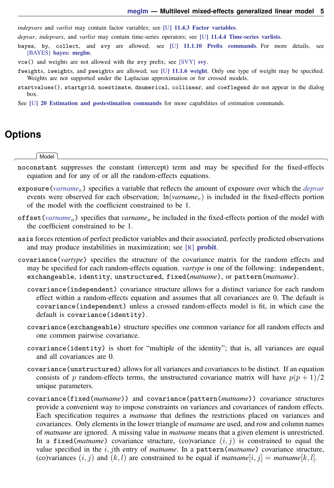*indepvars* and *varlist* may contain factor variables; see [U[\] 11.4.3 Factor variables](https://www.stata.com/manuals/u11.pdf#u11.4.3Factorvariables).

*depvar*, *indepvars*, and *varlist* may contain time-series operators; see [U[\] 11.4.4 Time-series varlists](https://www.stata.com/manuals/u11.pdf#u11.4.4Time-seriesvarlists).

- bayes, by, collect, and svy are allowed; see [U[\] 11.1.10 Prefix commands](https://www.stata.com/manuals/u11.pdf#u11.1.10Prefixcommands). For more details, see [BAYES] [bayes: meglm](https://www.stata.com/manuals/bayesbayesmeglm.pdf#bayesbayesmeglm).
- vce() and weights are not allowed with the svy prefix; see [\[SVY\]](https://www.stata.com/manuals/svysvy.pdf#svysvy) svy.
- <span id="page-4-1"></span>fweights, iweights, and pweights are allowed; see [U[\] 11.1.6 weight](https://www.stata.com/manuals/u11.pdf#u11.1.6weight). Only one type of weight may be specified. Weights are not supported under the Laplacian approximation or for crossed models.
- startvalues(), startgrid, noestimate, dnumerical, collinear, and coeflegend do not appear in the dialog box.
- <span id="page-4-0"></span>See [U[\] 20 Estimation and postestimation commands](https://www.stata.com/manuals/u20.pdf#u20Estimationandpostestimationcommands) for more capabilities of estimation commands.

## **Options**

 $\overline{a}$ 

#### [Model] Model <u>by</u> the contract of the contract of the contract of the contract of the contract of the contract of the contract of the contract of the contract of the contract of the contract of the contract of the contract of the

- noconstant suppresses the constant (intercept) term and may be specified for the fixed-effects equation and for any of or all the random-effects equations.
- exposure(*[varname](https://www.stata.com/manuals/u11.pdf#u11.4varnameandvarlists)*e) specifies a variable that reflects the amount of exposure over which the *[depvar](https://www.stata.com/manuals/u11.pdf#u11.4varnameandvarlists)* events were observed for each observation; ln(*varname*e) is included in the fixed-effects portion of the model with the coefficient constrained to be 1.
- offset (*[varname](https://www.stata.com/manuals/u11.pdf#u11.4varnameandvarlists)*<sub>o</sub>) specifies that *varname*<sub>o</sub> be included in the fixed-effects portion of the model with the coefficient constrained to be 1.
- asis forces retention of perfect predictor variables and their associated, perfectly predicted observations and may produce instabilities in maximization; see [R] [probit](https://www.stata.com/manuals/rprobit.pdf#rprobit).
- covariance(*vartype*) specifies the structure of the covariance matrix for the random effects and may be specified for each random-effects equation. *vartype* is one of the following: independent, exchangeable, identity, unstructured, fixed(*matname*), or pattern(*matname*).
	- covariance(independent) covariance structure allows for a distinct variance for each random effect within a random-effects equation and assumes that all covariances are 0. The default is covariance(independent) unless a crossed random-effects model is fit, in which case the default is covariance(identity).
	- covariance(exchangeable) structure specifies one common variance for all random effects and one common pairwise covariance.
	- covariance(identity) is short for "multiple of the identity"; that is, all variances are equal and all covariances are 0.
	- covariance(unstructured) allows for all variances and covariances to be distinct. If an equation consists of p random-effects terms, the unstructured covariance matrix will have  $p(p+1)/2$ unique parameters.
	- covariance(fixed(*matname*)) and covariance(pattern(*matname*)) covariance structures provide a convenient way to impose constraints on variances and covariances of random effects. Each specification requires a *matname* that defines the restrictions placed on variances and covariances. Only elements in the lower triangle of *matname* are used, and row and column names of *matname* are ignored. A missing value in *matname* means that a given element is unrestricted. In a fixed (*matname*) covariance structure, (co)variance  $(i, j)$  is constrained to equal the value specified in the i, jth entry of *matname*. In a pattern(*matname*) covariance structure, (co)variances  $(i, j)$  and  $(k, l)$  are constrained to be equal if *matname*[i, j] = *matname*[k, l].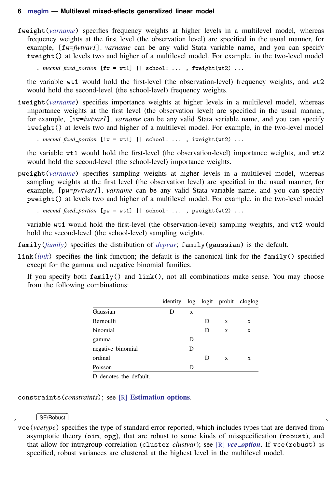fweight(*[varname](https://www.stata.com/manuals/u11.pdf#u11.4varnameandvarlists)*) specifies frequency weights at higher levels in a multilevel model, whereas frequency weights at the first level (the observation level) are specified in the usual manner, for example, [fw=*fwtvar1*]. *varname* can be any valid Stata variable name, and you can specify fweight() at levels two and higher of a multilevel model. For example, in the two-level model

. *mecmd fixed\_portion*  $[\text{fw} = \text{wt1}]$  || school: ... , fweight(wt2) ...

the variable wt1 would hold the first-level (the observation-level) frequency weights, and wt2 would hold the second-level (the school-level) frequency weights.

iweight(*[varname](https://www.stata.com/manuals/u11.pdf#u11.4varnameandvarlists)*) specifies importance weights at higher levels in a multilevel model, whereas importance weights at the first level (the observation level) are specified in the usual manner, for example, [iw=*iwtvar1*]. *varname* can be any valid Stata variable name, and you can specify iweight() at levels two and higher of a multilevel model. For example, in the two-level model

. *mecmd fixed*\_*portion* [iw = wt1] || school: . . . , iweight(wt2) . . .

the variable wt1 would hold the first-level (the observation-level) importance weights, and wt2 would hold the second-level (the school-level) importance weights.

pweight(*[varname](https://www.stata.com/manuals/u11.pdf#u11.4varnameandvarlists)*) specifies sampling weights at higher levels in a multilevel model, whereas sampling weights at the first level (the observation level) are specified in the usual manner, for example, [pw=*pwtvar1*]. *varname* can be any valid Stata variable name, and you can specify pweight() at levels two and higher of a multilevel model. For example, in the two-level model

. *mecmd fixed*\_*portion* [pw = wt1] || school: . . . , pweight(wt2) . . .

variable wt1 would hold the first-level (the observation-level) sampling weights, and wt2 would hold the second-level (the school-level) sampling weights.

family(*[family](#page-3-0)*) specifies the distribution of *[depvar](https://www.stata.com/manuals/u11.pdf#u11.4varnameandvarlists)*; family(gaussian) is the default.

link(*[link](#page-3-1)*) specifies the link function; the default is the canonical link for the family() specified except for the gamma and negative binomial families.

If you specify both  $fami1y()$  and  $link()$ , not all combinations make sense. You may choose from the following combinations:

|                   | identity |   |   |   | log logit probit cloglog |
|-------------------|----------|---|---|---|--------------------------|
| Gaussian          | D        | X |   |   |                          |
| <b>Bernoulli</b>  |          |   | D | X | X                        |
| binomial          |          |   | D | X | X                        |
| gamma             |          | D |   |   |                          |
| negative binomial |          | D |   |   |                          |
| ordinal           |          |   | D | X | X                        |
| Poisson           |          | D |   |   |                          |

D denotes the default.

constraints(*constraints*); see [R] [Estimation options](https://www.stata.com/manuals/restimationoptions.pdf#rEstimationoptions).

#### SE/Robust SE/Robust Letters and the contract of the contract of the contract of the contract of the contract of the contract of the contract of the contract of the contract of the contract of the contract of the contract of the cont

 $\overline{a}$ 

vce(*vcetype*) specifies the type of standard error reported, which includes types that are derived from asymptotic theory (oim, opg), that are robust to some kinds of misspecification (robust), and that allow for intragroup correlation (cluster *clustvar*); see [R] *vce\_[option](https://www.stata.com/manuals/rvce_option.pdf#rvce_option)*. If vce(robust) is specified, robust variances are clustered at the highest level in the multilevel model.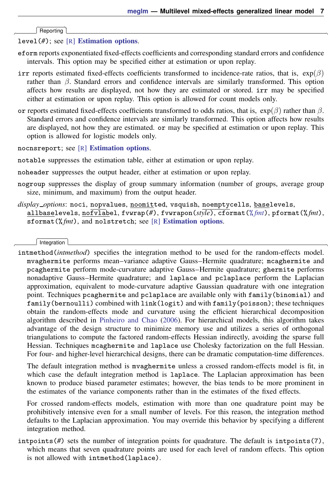Reporting Reporting Letters and the contract of the contract of the contract of the contract of the contract of the contract of the contract of the contract of the contract of the contract of the contract of the contract of the cont

 $\overline{a}$ 

level(*#*); see [R] [Estimation options](https://www.stata.com/manuals/restimationoptions.pdf#rEstimationoptions).

- eform reports exponentiated fixed-effects coefficients and corresponding standard errors and confidence intervals. This option may be specified either at estimation or upon replay.
- irr reports estimated fixed-effects coefficients transformed to incidence-rate ratios, that is,  $exp(\beta)$ rather than  $\beta$ . Standard errors and confidence intervals are similarly transformed. This option affects how results are displayed, not how they are estimated or stored. irr may be specified either at estimation or upon replay. This option is allowed for count models only.
- or reports estimated fixed-effects coefficients transformed to odds ratios, that is,  $\exp(\beta)$  rather than  $\beta$ . Standard errors and confidence intervals are similarly transformed. This option affects how results are displayed, not how they are estimated. or may be specified at estimation or upon replay. This option is allowed for logistic models only.
- nocnsreport; see [R] [Estimation options](https://www.stata.com/manuals/restimationoptions.pdf#rEstimationoptions).
- notable suppresses the estimation table, either at estimation or upon replay.
- noheader suppresses the output header, either at estimation or upon replay.
- nogroup suppresses the display of group summary information (number of groups, average group size, minimum, and maximum) from the output header.
- <span id="page-6-0"></span>*display options*: noci, nopvalues, noomitted, vsquish, noemptycells, baselevels, allbaselevels, nofvlabel, fvwrap(*#*), fvwrapon(*style*), cformat(% *[fmt](https://www.stata.com/manuals/d.pdf#dformat)*), pformat(% *fmt*), sformat(% *fmt*), and nolstretch; see [R] [Estimation options](https://www.stata.com/manuals/restimationoptions.pdf#rEstimationoptions).

Integration Integration **Definition Contract the Contract of Contract of Contract of Contract of Contract of Contract of Contract of Contract of Contract of Contract of Contract of Contract of Contract of Contract of Contract of Con** 

 $\overline{a}$ 

intmethod(*intmethod*) specifies the integration method to be used for the random-effects model. mvaghermite performs mean–variance adaptive Gauss–Hermite quadrature; mcaghermite and pcaghermite perform mode-curvature adaptive Gauss–Hermite quadrature; ghermite performs nonadaptive Gauss–Hermite quadrature; and laplace and pclaplace perform the Laplacian approximation, equivalent to mode-curvature adaptive Gaussian quadrature with one integration point. Techniques pcaghermite and pclaplace are available only with family(binomial) and family(bernoulli) combined with link(logit) and with family(poisson); these techniques obtain the random-effects mode and curvature using the efficient hierarchical decomposition algorithm described in [Pinheiro and Chao](#page-29-0) ([2006\)](#page-29-0). For hierarchical models, this algorithm takes advantage of the design structure to minimize memory use and utilizes a series of orthogonal triangulations to compute the factored random-effects Hessian indirectly, avoiding the sparse full Hessian. Techniques mcaghermite and laplace use Cholesky factorization on the full Hessian. For four- and higher-level hierarchical designs, there can be dramatic computation-time differences.

The default integration method is mvaghermite unless a crossed random-effects model is fit, in which case the default integration method is laplace. The Laplacian approximation has been known to produce biased parameter estimates; however, the bias tends to be more prominent in the estimates of the variance components rather than in the estimates of the fixed effects.

For crossed random-effects models, estimation with more than one quadrature point may be prohibitively intensive even for a small number of levels. For this reason, the integration method defaults to the Laplacian approximation. You may override this behavior by specifying a different integration method.

intpoints(*#*) sets the number of integration points for quadrature. The default is intpoints(7), which means that seven quadrature points are used for each level of random effects. This option is not allowed with intmethod(laplace).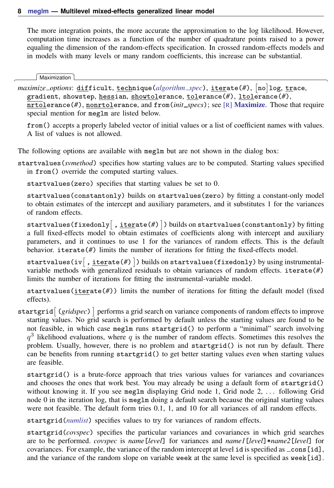The more integration points, the more accurate the approximation to the log likelihood. However, computation time increases as a function of the number of quadrature points raised to a power equaling the dimension of the random-effects specification. In crossed random-effects models and in models with many levels or many random coefficients, this increase can be substantial.

Maximization Maximization **discussed and the contract of the contract of the contract of the contract of the contract of the contract of the contract of the contract of the contract of the contract of the contract of the contract of th** 

<span id="page-7-0"></span> $\overline{a}$ 

*maximize\_options*: <u>dif</u>ficult, <u>tech</u>nique(*[algorithm](https://www.stata.com/manuals/rmaximize.pdf#rMaximizeSyntaxalgorithm_spec)\_spec*), <u>iter</u>ate(#),  $\lceil \text{no} \rceil$ log, <u>tr</u>ace, gradient, showstep, hessian, showtolerance, tolerance(*#*), ltolerance(*#*), nrtolerance(*#*), nonrtolerance, and from(*init specs*); see [R] [Maximize](https://www.stata.com/manuals/rmaximize.pdf#rMaximize). Those that require special mention for meglm are listed below.

from() accepts a properly labeled vector of initial values or a list of coefficient names with values. A list of values is not allowed.

The following options are available with meglm but are not shown in the dialog box:

<span id="page-7-1"></span>startvalues(*svmethod*) specifies how starting values are to be computed. Starting values specified in from() override the computed starting values.

startvalues(zero) specifies that starting values be set to 0.

startvalues(constantonly) builds on startvalues(zero) by fitting a constant-only model to obtain estimates of the intercept and auxiliary parameters, and it substitutes 1 for the variances of random effects.

startvalues(fixedonly $\left[\ ,\ \underline{\text{iter}}$ ate(#) $\ \right]$ ) builds on startvalues(constantonly) by fitting a full fixed-effects model to obtain estimates of coefficients along with intercept and auxiliary parameters, and it continues to use 1 for the variances of random effects. This is the default behavior. iterate( $#$ ) limits the number of iterations for fitting the fixed-effects model.

startvalues(iv $\left[ \ , \underline{iter}$ ate(#) $\right]$ ) builds on startvalues(fixedonly) by using instrumentalvariable methods with generalized residuals to obtain variances of random effects. iterate(*#*) limits the number of iterations for fitting the instrumental-variable model.

startvalues(iterate(*#*)) limits the number of iterations for fitting the default model (fixed effects).

<span id="page-7-2"></span>startgrid  $[$  (*gridspec*)  $]$  performs a grid search on variance components of random effects to improve starting values. No grid search is performed by default unless the starting values are found to be not feasible, in which case meglm runs startgrid() to perform a "minimal" search involving  $q<sup>3</sup>$  likelihood evaluations, where q is the number of random effects. Sometimes this resolves the problem. Usually, however, there is no problem and startgrid() is not run by default. There can be benefits from running startgrid() to get better starting values even when starting values are feasible.

startgrid() is a brute-force approach that tries various values for variances and covariances and chooses the ones that work best. You may already be using a default form of startgrid() without knowing it. If you see meglm displaying Grid node 1, Grid node 2, ... following Grid node 0 in the iteration log, that is meglm doing a default search because the original starting values were not feasible. The default form tries 0.1, 1, and 10 for all variances of all random effects.

startgrid(*[numlist](https://www.stata.com/manuals/u11.pdf#u11.1.8numlist)*) specifies values to try for variances of random effects.

startgrid(*covspec*) specifies the particular variances and covariances in which grid searches are to be performed. *covspec* is *name*[*level*] for variances and *name1*[*level*]\**name2*[*level*] for covariances. For example, the variance of the random intercept at level  $id$  is specified as  $\text{\_cons}$  [id], and the variance of the random slope on variable week at the same level is specified as week[id].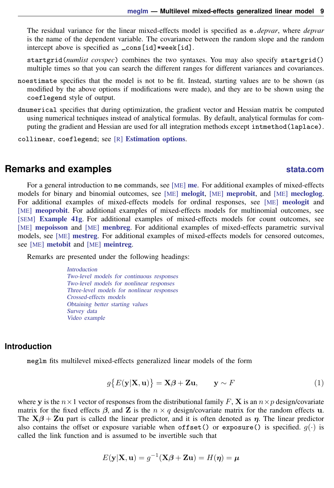The residual variance for the linear mixed-effects model is specified as e.*depvar*, where *depvar* is the name of the dependent variable. The covariance between the random slope and the random intercept above is specified as \_cons[id]\*week[id].

startgrid(*numlist covspec*) combines the two syntaxes. You may also specify startgrid() multiple times so that you can search the different ranges for different variances and covariances.

- noestimate specifies that the model is not to be fit. Instead, starting values are to be shown (as modified by the above options if modifications were made), and they are to be shown using the coeflegend style of output.
- dnumerical specifies that during optimization, the gradient vector and Hessian matrix be computed using numerical techniques instead of analytical formulas. By default, analytical formulas for computing the gradient and Hessian are used for all integration methods except intmethod(laplace).

<span id="page-8-0"></span>collinear, coeflegend; see [R] [Estimation options](https://www.stata.com/manuals/restimationoptions.pdf#rEstimationoptions).

## **Remarks and examples stature in the state of the state of state comparison of the state of state comparison of the state of state comparison of the state of state of state of state of state of state of state of state of**

For a general introduction to [me](https://www.stata.com/manuals/meme.pdf#meme) commands, see [ME] **me**. For additional examples of mixed-effects models for binary and binomial outcomes, see [ME] [melogit](https://www.stata.com/manuals/memelogit.pdf#memelogit), [ME] [meprobit](https://www.stata.com/manuals/memeprobit.pdf#memeprobit), and [ME] [mecloglog](https://www.stata.com/manuals/memecloglog.pdf#memecloglog). For additional examples of mixed-effects models for ordinal responses, see [ME] [meologit](https://www.stata.com/manuals/memeologit.pdf#memeologit) and [ME] [meoprobit](https://www.stata.com/manuals/memeoprobit.pdf#memeoprobit). For additional examples of mixed-effects models for multinomial outcomes, see [SEM] [Example 41g](https://www.stata.com/manuals/semexample41g.pdf#semExample41g). For additional examples of mixed-effects models for count outcomes, see [ME] [mepoisson](https://www.stata.com/manuals/memepoisson.pdf#memepoisson) and [ME] [menbreg](https://www.stata.com/manuals/memenbreg.pdf#memenbreg). For additional examples of mixed-effects parametric survival models, see [ME] [mestreg](https://www.stata.com/manuals/memestreg.pdf#memestreg). For additional examples of mixed-effects models for censored outcomes, see [ME] [metobit](https://www.stata.com/manuals/memetobit.pdf#memetobit) and [ME] [meintreg](https://www.stata.com/manuals/memeintreg.pdf#memeintreg).

Remarks are presented under the following headings:

[Introduction](#page-8-1) [Two-level models for continuous responses](#page-10-0) [Two-level models for nonlinear responses](#page-12-0) [Three-level models for nonlinear responses](#page-13-0) [Crossed-effects models](#page-15-0) [Obtaining better starting values](#page-17-0) [Survey data](#page-19-0) [Video example](#page-23-1)

#### <span id="page-8-1"></span>**Introduction**

<span id="page-8-2"></span>meglm fits multilevel mixed-effects generalized linear models of the form

$$
g\{E(\mathbf{y}|\mathbf{X},\mathbf{u})\} = \mathbf{X}\boldsymbol{\beta} + \mathbf{Z}\mathbf{u}, \qquad \mathbf{y} \sim F \tag{1}
$$

where y is the  $n \times 1$  vector of responses from the distributional family F, **X** is an  $n \times p$  design/covariate matrix for the fixed effects  $\beta$ , and Z is the  $n \times q$  design/covariate matrix for the random effects u. The  $X\beta + Zu$  part is called the linear predictor, and it is often denoted as  $\eta$ . The linear predictor also contains the offset or exposure variable when offset() or exposure() is specified.  $q(\cdot)$  is called the link function and is assumed to be invertible such that

$$
E(\mathbf{y}|\mathbf{X}, \mathbf{u}) = g^{-1}(\mathbf{X}\boldsymbol{\beta} + \mathbf{Z}\mathbf{u}) = H(\boldsymbol{\eta}) = \boldsymbol{\mu}
$$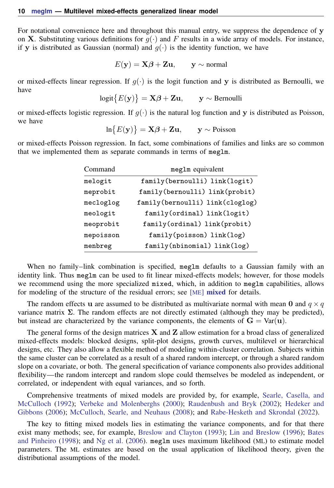For notational convenience here and throughout this manual entry, we suppress the dependence of  $\bf{v}$ on **X**. Substituting various definitions for  $q(\cdot)$  and F results in a wide array of models. For instance, if **v** is distributed as Gaussian (normal) and  $q(\cdot)$  is the identity function, we have

$$
E(\mathbf{y}) = \mathbf{X}\boldsymbol{\beta} + \mathbf{Z}\mathbf{u}, \qquad \mathbf{y} \sim \text{normal}
$$

or mixed-effects linear regression. If  $g(\cdot)$  is the logit function and y is distributed as Bernoulli, we have

 $logit\{E(\mathbf{y})\} = \mathbf{X}\boldsymbol{\beta} + \mathbf{Z}\mathbf{u}$ ,  $\mathbf{y} \sim \text{Bernoulli}$ 

or mixed-effects logistic regression. If  $q(\cdot)$  is the natural log function and y is distributed as Poisson, we have

$$
\ln\{E(\mathbf{y})\} = \mathbf{X}\boldsymbol{\beta} + \mathbf{Z}\mathbf{u}, \qquad \mathbf{y} \sim \text{Poisson}
$$

or mixed-effects Poisson regression. In fact, some combinations of families and links are so common that we implemented them as separate commands in terms of meglm.

| meglm equivalent                |
|---------------------------------|
| family(bernoulli) link(logit)   |
| family(bernoulli) link(probit)  |
| family(bernoulli) link(cloglog) |
| family(ordinal) link(logit)     |
| family(ordinal) link(probit)    |
| family(poisson) link(log)       |
| family(nbinomial) link(log)     |
|                                 |

When no family–link combination is specified, meglm defaults to a Gaussian family with an identity link. Thus meglm can be used to fit linear mixed-effects models; however, for those models we recommend using the more specialized mixed, which, in addition to meglm capabilities, allows for modeling of the structure of the residual errors; see [ME] [mixed](https://www.stata.com/manuals/memixed.pdf#memixed) for details.

The random effects **u** are assumed to be distributed as multivariate normal with mean 0 and  $q \times q$ variance matrix  $\Sigma$ . The random effects are not directly estimated (although they may be predicted), but instead are characterized by the variance components, the elements of  $G = Var(u)$ .

The general forms of the design matrices  $X$  and  $Z$  allow estimation for a broad class of generalized mixed-effects models: blocked designs, split-plot designs, growth curves, multilevel or hierarchical designs, etc. They also allow a flexible method of modeling within-cluster correlation. Subjects within the same cluster can be correlated as a result of a shared random intercept, or through a shared random slope on a covariate, or both. The general specification of variance components also provides additional flexibility—the random intercept and random slope could themselves be modeled as independent, or correlated, or independent with equal variances, and so forth.

Comprehensive treatments of mixed models are provided by, for example, [Searle, Casella, and](#page-29-1) [McCulloch](#page-29-1) [\(1992\)](#page-29-1); [Verbeke and Molenberghs](#page-30-1) [\(2000](#page-30-1)); [Raudenbush and Bryk](#page-29-2) [\(2002](#page-29-2)); [Hedeker and](#page-29-3) [Gibbons](#page-29-3) [\(2006](#page-29-3)); [McCulloch, Searle, and Neuhaus](#page-29-4) ([2008\)](#page-29-4); and [Rabe-Hesketh and Skrondal](#page-29-5) ([2022\)](#page-29-5).

The key to fitting mixed models lies in estimating the variance components, and for that there exist many methods; see, for example, [Breslow and Clayton](#page-28-1) [\(1993](#page-28-1)); [Lin and Breslow](#page-29-6) [\(1996](#page-29-6)); [Bates](#page-28-2) [and Pinheiro](#page-28-2) [\(1998](#page-28-2)); and [Ng et al.](#page-29-7) ([2006](#page-29-7)). meglm uses maximum likelihood (ML) to estimate model parameters. The ML estimates are based on the usual application of likelihood theory, given the distributional assumptions of the model.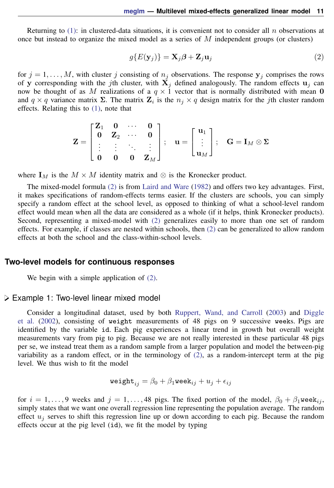Returning to  $(1)$ : in clustered-data situations, it is convenient not to consider all n observations at once but instead to organize the mixed model as a series of  $M$  independent groups (or clusters)

<span id="page-10-1"></span>
$$
g\{E(\mathbf{y}_j)\} = \mathbf{X}_j \boldsymbol{\beta} + \mathbf{Z}_j \mathbf{u}_j \tag{2}
$$

for  $j = 1, \ldots, M$ , with cluster j consisting of  $n_j$  observations. The response  $y_j$  comprises the rows of y corresponding with the jth cluster, with  $X_i$  defined analogously. The random effects  $u_i$  can now be thought of as M realizations of a  $q \times 1$  vector that is normally distributed with mean 0 and  $q \times q$  variance matrix  $\Sigma$ . The matrix  $\mathbf{Z}_i$  is the  $n_j \times q$  design matrix for the jth cluster random effects. Relating this to [\(1\),](#page-8-2) note that

$$
\mathbf{Z} = \begin{bmatrix} \mathbf{Z}_1 & \mathbf{0} & \cdots & \mathbf{0} \\ \mathbf{0} & \mathbf{Z}_2 & \cdots & \mathbf{0} \\ \vdots & \vdots & \ddots & \vdots \\ \mathbf{0} & \mathbf{0} & \mathbf{0} & \mathbf{Z}_M \end{bmatrix}; \quad \mathbf{u} = \begin{bmatrix} \mathbf{u}_1 \\ \vdots \\ \mathbf{u}_M \end{bmatrix}; \quad \mathbf{G} = \mathbf{I}_M \otimes \mathbf{\Sigma}
$$

where  $I_M$  is the  $M \times M$  identity matrix and  $\otimes$  is the Kronecker product.

The mixed-model formula [\(2\)](#page-10-1) is from [Laird and Ware](#page-29-8) [\(1982\)](#page-29-8) and offers two key advantages. First, it makes specifications of random-effects terms easier. If the clusters are schools, you can simply specify a random effect at the school level, as opposed to thinking of what a school-level random effect would mean when all the data are considered as a whole (if it helps, think Kronecker products). Second, representing a mixed-model with [\(2\)](#page-10-1) generalizes easily to more than one set of random effects. For example, if classes are nested within schools, then [\(2\)](#page-10-1) can be generalized to allow random effects at both the school and the class-within-school levels.

#### <span id="page-10-0"></span>**Two-level models for continuous responses**

We begin with a simple application of  $(2)$ .

#### Example 1: Two-level linear mixed model

Consider a longitudinal dataset, used by both [Ruppert, Wand, and Carroll](#page-29-9) [\(2003\)](#page-29-9) and [Diggle](#page-29-10) [et al.](#page-29-10) ([2002](#page-29-10)), consisting of weight measurements of 48 pigs on 9 successive weeks. Pigs are identified by the variable id. Each pig experiences a linear trend in growth but overall weight measurements vary from pig to pig. Because we are not really interested in these particular 48 pigs per se, we instead treat them as a random sample from a larger population and model the between-pig variability as a random effect, or in the terminology of [\(2\)](#page-10-1), as a random-intercept term at the pig level. We thus wish to fit the model

$$
\texttt{weight}_{ij} = \beta_0 + \beta_1 \texttt{week}_{ij} + u_j + \epsilon_{ij}
$$

for  $i = 1, \ldots, 9$  weeks and  $j = 1, \ldots, 48$  pigs. The fixed portion of the model,  $\beta_0 + \beta_1$ week $_{ij}$ , simply states that we want one overall regression line representing the population average. The random effect  $u_i$  serves to shift this regression line up or down according to each pig. Because the random effects occur at the pig level (id), we fit the model by typing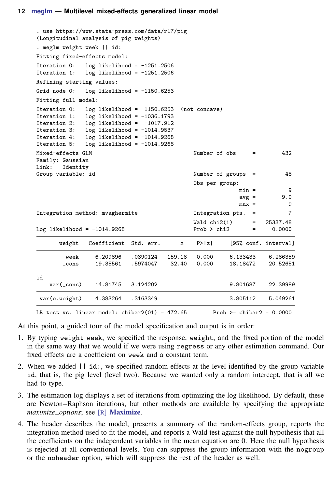```
. use https://www.stata-press.com/data/r17/pig
(Longitudinal analysis of pig weights)
. meglm weight week || id:
Fitting fixed-effects model:
Iteration 0: log likelihood = -1251.2506
Iteration 1: log likelihood = -1251.2506
Refining starting values:
Grid node 0: log likelihood = -1150.6253Fitting full model:
Iteration 0: log likelihood = -1150.6253 (not concave)<br>Iteration 1: log likelihood = -1036.1793
Iteration 1: log likelihood = -1036.1793<br>Iteration 2: log likelihood = -1017.912
Iteration 2: log likelihood = -1017.912<br>Iteration 3: log likelihood = -1014.9537
Iteration 3: log likelihood = -1014.9537<br>Iteration 4: log likelihood = -1014.9268
Iteration 4: log likelihood = -1014.9268<br>Iteration 5: log likelihood = -1014.9268
             log likelihood = -1014.9268Mixed-effects GLM \blacksquare Number of obs = 432
Family: Gaussian
Link: Identity
Group variable: id \blacksquare and \blacksquare and \blacksquare are \blacksquareObs per group:
                                                                min =
ave =
9.0\text{avg} =
                                                                max = 9Integration method: mvaghermite Integration pts. = 7
                                                  Wald chi2(1) = 25337.48<br>Prob > chi2 = 0.0000Log likelihood = -1014.9268weight Coefficient Std. err. z P>|z| [95% conf. interval]
         week 6.209896 .0390124 159.18 0.000 6.133433 6.286359
        _cons 19.35561 .5974047 32.40 0.000 18.18472 20.52651
id
    var(_cons) 14.81745 3.124202 9.801687 22.39989
 var(e.weight) 4.383264 .3163349 3.805112 5.049261
LR test vs. linear model: chibar2(01) = 472.65 Prob >= chibar2 = 0.0000
```
At this point, a guided tour of the model specification and output is in order:

- 1. By typing weight week, we specified the response, weight, and the fixed portion of the model in the same way that we would if we were using regress or any other estimation command. Our fixed effects are a coefficient on week and a constant term.
- 2. When we added || id:, we specified random effects at the level identified by the group variable id, that is, the pig level (level two). Because we wanted only a random intercept, that is all we had to type.
- 3. The estimation log displays a set of iterations from optimizing the log likelihood. By default, these are Newton–Raphson iterations, but other methods are available by specifying the appropriate *maximize options*; see [R] [Maximize](https://www.stata.com/manuals/rmaximize.pdf#rMaximize).
- 4. The header describes the model, presents a summary of the random-effects group, reports the integration method used to fit the model, and reports a Wald test against the null hypothesis that all the coefficients on the independent variables in the mean equation are 0. Here the null hypothesis is rejected at all conventional levels. You can suppress the group information with the nogroup or the noheader option, which will suppress the rest of the header as well.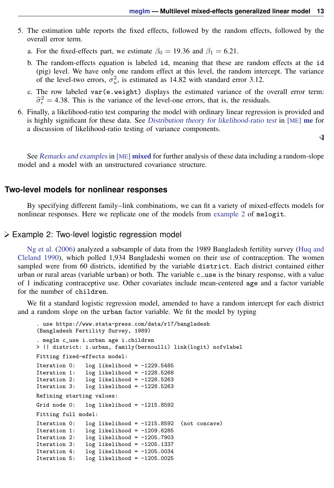- 5. The estimation table reports the fixed effects, followed by the random effects, followed by the overall error term.
	- a. For the fixed-effects part, we estimate  $\beta_0 = 19.36$  and  $\beta_1 = 6.21$ .
	- b. The random-effects equation is labeled id, meaning that these are random effects at the id (pig) level. We have only one random effect at this level, the random intercept. The variance of the level-two errors,  $\sigma_u^2$ , is estimated as 14.82 with standard error 3.12.
	- c. The row labeled var(e.weight) displays the estimated variance of the overall error term:  $\hat{\sigma}_{\epsilon}^2$  = 4.38. This is the variance of the level-one errors, that is, the residuals.
- 6. Finally, a likelihood-ratio test comparing the model with ordinary linear regression is provided and is highly significant for these data. See [Distribution theory for likelihood-ratio test](https://www.stata.com/manuals/meme.pdf#memeRemarksandexamplesDistributiontheoryforlikelihood-ratiotest) in [ME] [me](https://www.stata.com/manuals/meme.pdf#meme) for a discussion of likelihood-ratio testing of variance components.

◁

<span id="page-12-0"></span>See [Remarks and examples](https://www.stata.com/manuals/memixed.pdf#memixedRemarksandexamples) in [ME] **[mixed](https://www.stata.com/manuals/memixed.pdf#memixed)** for further analysis of these data including a random-slope model and a model with an unstructured covariance structure.

#### **Two-level models for nonlinear responses**

By specifying different family–link combinations, we can fit a variety of mixed-effects models for nonlinear responses. Here we replicate one of the models from [example 2](https://www.stata.com/manuals/memelogit.pdf#memelogitRemarksandexamplesex2) of melogit.

#### Example 2: Two-level logistic regression model

[Ng et al.](#page-29-7) ([2006\)](#page-29-7) analyzed a subsample of data from the 1989 Bangladesh fertility survey ([Huq and](#page-29-11) [Cleland](#page-29-11) [1990\)](#page-29-11), which polled 1,934 Bangladeshi women on their use of contraception. The women sampled were from 60 districts, identified by the variable district. Each district contained either urban or rural areas (variable urban) or both. The variable  $c$  use is the binary response, with a value of 1 indicating contraceptive use. Other covariates include mean-centered age and a factor variable for the number of children.

We fit a standard logistic regression model, amended to have a random intercept for each district and a random slope on the urban factor variable. We fit the model by typing

```
. use https://www.stata-press.com/data/r17/bangladesh
(Bangladesh Fertility Survey, 1989)
. meglm c_use i.urban age i.children
> || district: i.urban, family(bernoulli) link(logit) nofvlabel
Fitting fixed-effects model:
Iteration 0: log likelihood = -1229.5485Iteration 1: log likelihood = -1228.5268<br>Iteration 2: log likelihood = -1228.5263
                 log likelihood = -1228.5263Iteration 3: log likelihood = -1228.5263Refining starting values:
Grid node 0: log likelihood = -1215.8592Fitting full model:
Iteration 0: log likelihood = -1215.8592 (not concave)
Iteration 1: log likelihood = -1209.6285<br>Iteration 2: log likelihood = -1205.7903Iteration 2: log likelihood = -1205.7903<br>Iteration 3: log likelihood = -1205.1337
                 log likelihood = -1205.1337Iteration 4: log likelihood = -1205.0034
Iteration 5: log likelihood = -1205.0025
```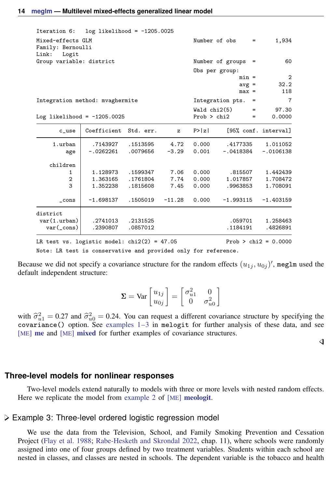| Iteration 6: $log$ likelihood = $-1205.0025$             |                   |               |              |             |                         |                        |
|----------------------------------------------------------|-------------------|---------------|--------------|-------------|-------------------------|------------------------|
| Mixed-effects GLM<br>Family: Bernoulli<br>Link:<br>Logit |                   |               |              |             | Number of obs<br>$=$    | 1,934                  |
| Group variable: district                                 |                   |               |              |             | Number of groups =      | 60                     |
|                                                          |                   |               |              |             | Obs per group:          |                        |
|                                                          |                   |               |              |             | $min =$                 | $\overline{2}$         |
|                                                          |                   |               |              |             | $avg =$                 | 32.2                   |
|                                                          |                   |               |              |             | $max =$                 | 118                    |
| Integration method: mvaghermite                          |                   |               |              |             | Integration pts.<br>$=$ | 7                      |
|                                                          |                   |               |              | Waldchi(5)  | $=$                     | 97.30                  |
| Log likelihood = $-1205.0025$                            |                   |               |              | Prob > chi2 | $=$                     | 0.0000                 |
| $c$ _use                                                 | Coefficient       | Std. err.     | $\mathbf{z}$ | P >  z      |                         | [95% conf. interval]   |
| 1.urban                                                  | .7143927          | .1513595 4.72 |              | 0.000       | .4177335                | 1.011052               |
| age                                                      | $-.0262261$       | .0079656      | $-3.29$      | 0.001       | $-.0418384$             | $-.0106138$            |
| children                                                 |                   |               |              |             |                         |                        |
| $\mathbf{1}$                                             | 1.128973 .1599347 |               | 7.06         | 0.000       | .815507                 | 1.442439               |
| $\overline{2}$                                           | 1.363165          | .1761804      | 7.74         | 0.000       | 1.017857                | 1.708472               |
| 3                                                        | 1.352238          | .1815608      | 7.45         | 0.000       | .9963853                | 1.708091               |
| $\_cons$                                                 | $-1.698137$       | .1505019      | $-11.28$     | 0.000       | $-1.993115$             | $-1.403159$            |
| district                                                 |                   |               |              |             |                         |                        |
| var(1.urban)                                             | .2741013          | .2131525      |              |             | .059701                 | 1.258463               |
| $var(\_cons)$                                            | .2390807          | .0857012      |              |             | .1184191                | .4826891               |
| LR test vs. logistic model: $chi(2) = 47.05$             |                   |               |              |             |                         | $Prob > chi2 = 0.0000$ |

Note: LR test is conservative and provided only for reference.

Because we did not specify a covariance structure for the random effects  $(u_{1j}, u_{0j})'$ , meglm used the default independent structure:

$$
\mathbf{\Sigma} = \text{Var}\begin{bmatrix} u_{1j} \\ u_{0j} \end{bmatrix} = \begin{bmatrix} \sigma_{u1}^2 & 0 \\ 0 & \sigma_{u0}^2 \end{bmatrix}
$$

with  $\hat{\sigma}_{u_1}^2 = 0.27$  and  $\hat{\sigma}_{u_0}^2 = 0.24$ . You can request a different covariance structure by specifying the covariance () option. See examples 1–3 in melogit, for further analysis of these data and see covariance() option. See examples  $1-3$  in melogit for further analysis of these data, and see [ME] [me](https://www.stata.com/manuals/meme.pdf#meme) and [ME] [mixed](https://www.stata.com/manuals/memixed.pdf#memixed) for further examples of covariance structures.

◁

#### <span id="page-13-0"></span>**Three-level models for nonlinear responses**

Two-level models extend naturally to models with three or more levels with nested random effects. Here we replicate the model from [example 2](https://www.stata.com/manuals/memeologit.pdf#memeologitRemarksandexamplesex2_meologit) of [ME] **[meologit](https://www.stata.com/manuals/memeologit.pdf#memeologit).** 

#### Example 3: Three-level ordered logistic regression model

We use the data from the Television, School, and Family Smoking Prevention and Cessation Project [\(Flay et al.](#page-29-12) [1988](#page-29-12); [Rabe-Hesketh and Skrondal](#page-29-5) [2022,](#page-29-5) chap. 11), where schools were randomly assigned into one of four groups defined by two treatment variables. Students within each school are nested in classes, and classes are nested in schools. The dependent variable is the tobacco and health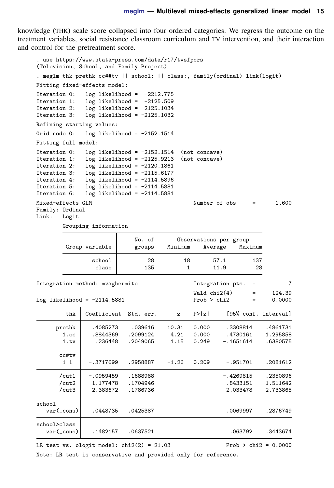knowledge (THK) scale score collapsed into four ordered categories. We regress the outcome on the treatment variables, social resistance classroom curriculum and TV intervention, and their interaction and control for the pretreatment score.

```
. use https://www.stata-press.com/data/r17/tvsfpors
(Television, School, and Family Project)
. meglm thk prethk cc##tv || school: || class:, family(ordinal) link(logit)
Fitting fixed-effects model:
Iteration 0: log likelihood = -2212.775<br>Iteration 1: log likelihood = -2125.509Iteration 1: log likelihood = -2125.509<br>Iteration 2: log likelihood = -2125.1034
              log likelihood = -2125.1034Iteration 3: log likelihood = -2125.1032
Refining starting values:
Grid node 0: log likelihood = -2152.1514Fitting full model:
Iteration 0: log likelihood = -2152.1514 (not concave)
Iteration 1: log likelihood = -2125.9213 (not concave)
Iteration 2: log likelihood = -2120.1861<br>Iteration 3: log likelihood = -2115.6177
Iteration 3: log likelihood = -2115.6177<br>Iteration 4: log likelihood = -2114.5896
Iteration 4: log likelihood = -2114.5896<br>Iteration 5: log likelihood = -2114.5881
Iteration 5: log likelihood = -2114.5881<br>Iteration 6: log likelihood = -2114.5881log likelihood = -2114.5881Mixed-effects GLM Number of obs = 1,600
Family: Ordinal<br>Link: Logit
       Logit
        Grouping information
                             No. of Observations per group
         Group variable groups Minimum Average Maximum
                 school 28 18 57.1 137
                  class 135 1 11.9 28
Integration method: mvaghermite Integration pts. = 7
                                               Wald chi2(4) = 124.39<br>Prob > chi2 = 0.0000
Log likelihood = -2114.5881thk Coefficient Std. err. z P>|z| [95% conf. interval]
      prethk .4085273 .039616 10.31 0.000 .3308814 .4861731
        1.cc .8844369 .2099124 4.21 0.000 .4730161 1.295858
        1.tv .236448 .2049065 1.15 0.249 -.1651614 .6380575
      \begin{smallmatrix} \texttt{cctttv} \\ 1 & 1 \end{smallmatrix}1 1 -.3717699 .2958887 -1.26 0.209 -.951701 .2081612
       /cut1 -.0959459 .1688988 -.4269815 .2350896
       /cut2 1.177478 .1704946 .8433151 1.511642
       /cut3 2.383672 .1786736 2.033478 2.733865
school
  var(_cons) .0448735 .0425387 .0069997 .2876749
school>class
   var(_cons) .1482157 .0637521 .063792 .3443674
LR test vs. ologit model: \text{chi}(2) = 21.03 Prob > \text{chi}(2) = 0.0000
```
Note: LR test is conservative and provided only for reference.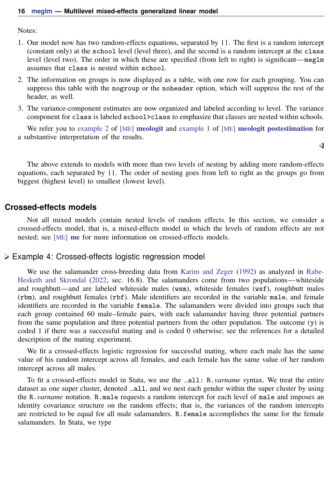Notes:

- 1. Our model now has two random-effects equations, separated by ||. The first is a random intercept (constant only) at the school level (level three), and the second is a random intercept at the class level (level two). The order in which these are specified (from left to right) is significant—meglm assumes that class is nested within school.
- 2. The information on groups is now displayed as a table, with one row for each grouping. You can suppress this table with the nogroup or the noheader option, which will suppress the rest of the header, as well.
- 3. The variance-component estimates are now organized and labeled according to level. The variance component for class is labeled school>class to emphasize that classes are nested within schools.

We refer you to [example 2](https://www.stata.com/manuals/memeologit.pdf#memeologitRemarksandexamplesex2_meologit) of [ME] [meologit](https://www.stata.com/manuals/memeologit.pdf#memeologit) and [example 1](https://www.stata.com/manuals/memeologitpostestimation.pdf#memeologitpostestimationRemarksandexamplesex1) of [ME] [meologit postestimation](https://www.stata.com/manuals/memeologitpostestimation.pdf#memeologitpostestimation) for a substantive interpretation of the results.

 $\overline{\mathcal{A}}$ 

The above extends to models with more than two levels of nesting by adding more random-effects equations, each separated by ||. The order of nesting goes from left to right as the groups go from biggest (highest level) to smallest (lowest level).

#### <span id="page-15-0"></span>**Crossed-effects models**

Not all mixed models contain nested levels of random effects. In this section, we consider a crossed-effects model, that is, a mixed-effects model in which the levels of random effects are not nested; see [ME] **[me](https://www.stata.com/manuals/meme.pdf#meme)** for more information on crossed-effects models.

#### Example 4: Crossed-effects logistic regression model

We use the salamander cross-breeding data from [Karim and Zeger](#page-29-13) ([1992](#page-29-13)) as analyzed in [Rabe-](#page-29-5)[Hesketh and Skrondal](#page-29-5) ([2022,](#page-29-5) sec. 16.8). The salamanders come from two populations—whiteside and roughbutt—and are labeled whiteside males (wsm), whiteside females (wsf), roughbutt males (rbm), and roughbutt females (rbf). Male identifiers are recorded in the variable male, and female identifiers are recorded in the variable female. The salamanders were divided into groups such that each group contained 60 male–female pairs, with each salamander having three potential partners from the same population and three potential partners from the other population. The outcome (y) is coded 1 if there was a successful mating and is coded 0 otherwise; see the references for a detailed description of the mating experiment.

We fit a crossed-effects logistic regression for successful mating, where each male has the same value of his random intercept across all females, and each female has the same value of her random intercept across all males.

To fit a crossed-effects model in Stata, we use the all: R.*varname* syntax. We treat the entire dataset as one super cluster, denoted  $\text{all}$ , and we nest each gender within the super cluster by using the R.*varname* notation. R.male requests a random intercept for each level of male and imposes an identity covariance structure on the random effects; that is, the variances of the random intercepts are restricted to be equal for all male salamanders. R.female accomplishes the same for the female salamanders. In Stata, we type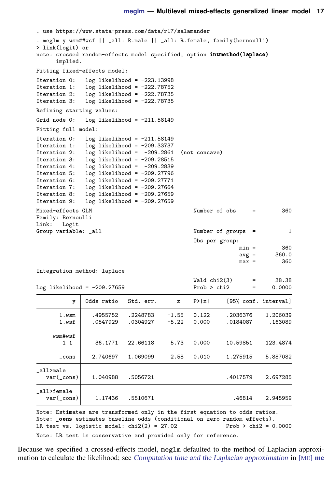Wald chi2(3) = 38.38<br>Prob > chi2 = 0.0000

```
. use https://www.stata-press.com/data/r17/salamander
. meglm y wsm##wsf || _all: R.male || _all: R.female, family(bernoulli)
> link(logit) or
note: crossed random-effects model specified; option intmethod(laplace)
       implied.
Fitting fixed-effects model:
Iteration 0: log likelihood = -223.13998<br>Iteration 1: log likelihood = -222.78752Iteration 1: log likelihood = -222.78752<br>Iteration 2: log likelihood = -222.78735
Iteration 2: log likelihood = -222.78735<br>Iteration 3: log likelihood = -222.78735log likelihood = -222.78735
Refining starting values:
Grid node 0: log likelihood = -211.58149Fitting full model:
Iteration 0: log likelihood = -211.58149<br>Iteration 1: log likelihood = -209.33737log likelihood = -209.33737Iteration 2: log likelihood = -209.2861 (not concave)
Iteration 3: log likelihood = -209.28515
Iteration 4: log likelihood = -209.2839
Iteration 5: log likelihood = -209.27796
Iteration 6: log likelihood = -209.27771
Iteration 7: log likelihood = -209.27664<br>Iteration 8: log likelihood = -209.27659
Iteration 8: log likelihood = -209.27659<br>Iteration 9: log likelihood = -209.27659
                 log likelihood = -209.27659Mixed-effects GLM Number of obs = 360
Family: Bernoulli
Link: Logit<br>Group variable: _all
                                                        Number of groups = 1Obs per group:
                                                                        min = 360
                                                                        avg = 360.0max = 360
```
Integration method: laplace

Log likelihood =  $-209.27659$ 

| y                           | Odds ratio           | Std. err.            | $\mathbf{z}$       | P >  z         |                      | [95% conf. interval] |
|-----------------------------|----------------------|----------------------|--------------------|----------------|----------------------|----------------------|
| 1.wsm<br>1.wsf              | .4955752<br>.0547929 | .2248783<br>.0304927 | $-1.55$<br>$-5.22$ | 0.122<br>0.000 | .2036376<br>.0184087 | 1.206039<br>.163089  |
| wsm#wsf<br>$1\quad1$        | 36.1771              | 22.66118             | 5.73               | 0.000          | 10.59851             | 123.4874             |
| $\_cons$                    | 2.740697             | 1.069099             | 2.58               | 0.010          | 1.275915             | 5.887082             |
| all>male<br>$var(\_cons)$   | 1.040988             | .5056721             |                    |                | .4017579             | 2.697285             |
| all>female<br>$var(\_cons)$ | 1.17436              | .5510671             |                    |                | .46814               | 2.945959             |
|                             |                      |                      |                    |                |                      |                      |

Note: Estimates are transformed only in the first equation to odds ratios. Note: \_cons estimates baseline odds (conditional on zero random effects). LR test vs. logistic model:  $\text{chi2}(2) = 27.02$  Prob >  $\text{chi2} = 0.0000$ Note: LR test is conservative and provided only for reference.

Because we specified a crossed-effects model, meglm defaulted to the method of Laplacian approximation to calculate the likelihood; see *[Computation time and the Laplacian approximation](https://www.stata.com/manuals/meme.pdf#memeRemarksandexamplesComputationtimeandtheLaplacianapproximation)* in [ME] [me](https://www.stata.com/manuals/meme.pdf#meme)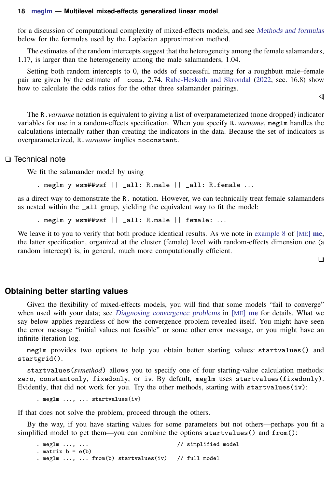for a discussion of computational complexity of mixed-effects models, and see [Methods and formulas](#page-24-0) below for the formulas used by the Laplacian approximation method.

The estimates of the random intercepts suggest that the heterogeneity among the female salamanders, 1.17, is larger than the heterogeneity among the male salamanders, 1.04.

Setting both random intercepts to 0, the odds of successful mating for a roughbutt male–female pair are given by the estimate of  $\angle$ cons, 2.74. [Rabe-Hesketh and Skrondal](#page-29-5) [\(2022](#page-29-5), sec. 16.8) show how to calculate the odds ratios for the other three salamander pairings.

The R.*varname* notation is equivalent to giving a list of overparameterized (none dropped) indicator variables for use in a random-effects specification. When you specify R.*varname*, meglm handles the calculations internally rather than creating the indicators in the data. Because the set of indicators is overparameterized, R.*varname* implies noconstant.

#### □ Technical note

We fit the salamander model by using

. meglm y wsm##wsf || \_all: R.male || \_all: R.female . . .

as a direct way to demonstrate the R. notation. However, we can technically treat female salamanders as nested within the  $\text{all}$  group, yielding the equivalent way to fit the model:

. meglm y wsm##wsf || \_all: R.male || female: ...

We leave it to you to verify that both produce identical results. As we note in [example 8](https://www.stata.com/manuals/meme.pdf#memeRemarksandexamplesex8) of  $[ME]$  [me](https://www.stata.com/manuals/meme.pdf#meme), the latter specification, organized at the cluster (female) level with random-effects dimension one (a random intercept) is, in general, much more computationally efficient.

 $\Box$ 

◁

#### <span id="page-17-0"></span>**Obtaining better starting values**

Given the flexibility of mixed-effects models, you will find that some models "fail to converge" when used with your data; see [Diagnosing convergence problems](https://www.stata.com/manuals/meme.pdf#memeRemarksandexamplesDiagnosingconvergenceproblems) in [ME] [me](https://www.stata.com/manuals/meme.pdf#meme) for details. What we say below applies regardless of how the convergence problem revealed itself. You might have seen the error message "initial values not feasible" or some other error message, or you might have an infinite iteration log.

meglm provides two options to help you obtain better starting values: startvalues() and startgrid().

startvalues(*svmethod*) allows you to specify one of four starting-value calculation methods: zero, constantonly, fixedonly, or iv. By default, meglm uses startvalues(fixedonly). Evidently, that did not work for you. Try the other methods, starting with startvalues $(iv)$ :

. meglm ..., ... startvalues(iv)

If that does not solve the problem, proceed through the others.

By the way, if you have starting values for some parameters but not others—perhaps you fit a simplified model to get them—you can combine the options startvalues() and from():

. meglm ..., ... // simplified model . matrix  $b = e(b)$ . meglm ..., ... from(b) startvalues(iv) // full model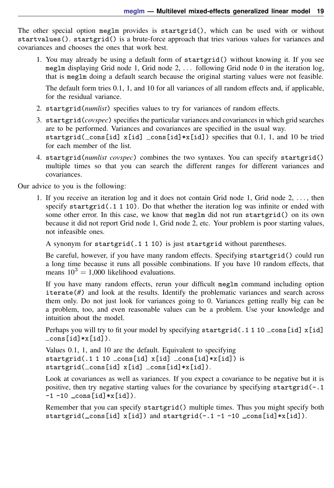The other special option meglm provides is startgrid(), which can be used with or without startvalues(). startgrid() is a brute-force approach that tries various values for variances and covariances and chooses the ones that work best.

1. You may already be using a default form of startgrid() without knowing it. If you see meglm displaying Grid node 1, Grid node 2,  $\ldots$  following Grid node 0 in the iteration log. that is meglm doing a default search because the original starting values were not feasible.

The default form tries 0.1, 1, and 10 for all variances of all random effects and, if applicable, for the residual variance.

- 2. startgrid(*numlist*) specifies values to try for variances of random effects.
- 3. startgrid(*covspec*) specifies the particular variances and covariances in which grid searches are to be performed. Variances and covariances are specified in the usual way. startgrid( $\text{\_cons}[id]$  x[id]  $\text{\_cons}[id]*x[id]$ ) specifies that 0.1, 1, and 10 be tried for each member of the list.
- 4. startgrid(*numlist covspec*) combines the two syntaxes. You can specify startgrid() multiple times so that you can search the different ranges for different variances and covariances.

Our advice to you is the following:

1. If you receive an iteration log and it does not contain Grid node 1, Grid node 2, . . . , then specify startgrid( $.1 1 10$ ). Do that whether the iteration log was infinite or ended with some other error. In this case, we know that meglm did not run startgrid() on its own because it did not report Grid node 1, Grid node 2, etc. Your problem is poor starting values, not infeasible ones.

A synonym for startgrid(.1 1 10) is just startgrid without parentheses.

Be careful, however, if you have many random effects. Specifying startgrid() could run a long time because it runs all possible combinations. If you have 10 random effects, that means  $10^3 = 1,000$  likelihood evaluations.

If you have many random effects, rerun your difficult meglm command including option iterate(*#*) and look at the results. Identify the problematic variances and search across them only. Do not just look for variances going to 0. Variances getting really big can be a problem, too, and even reasonable values can be a problem. Use your knowledge and intuition about the model.

Perhaps you will try to fit your model by specifying startgrid(.1 1 10  $\text{\_cons}[id]$  x[id] cons[id]\*x[id]).

Values 0.1, 1, and 10 are the default. Equivalent to specifying startgrid(.1 1 10  $_{cons}$ [id]  $_{x}$ [id]  $_{cons}$ [id] \* $_{x}$ [id]) is startgrid(\_cons[id] x[id] \_cons[id]\*x[id]).

Look at covariances as well as variances. If you expect a covariance to be negative but it is positive, then try negative starting values for the covariance by specifying startgrid $(-.1)$  $-1 -10$   $\cos[i d] * x[i d]$ .

Remember that you can specify startgrid() multiple times. Thus you might specify both startgrid( $_{\text{cons}}$ [id] x[id]) and startgrid(-.1-1-10  $_{\text{cons}}$ [id]\*x[id]).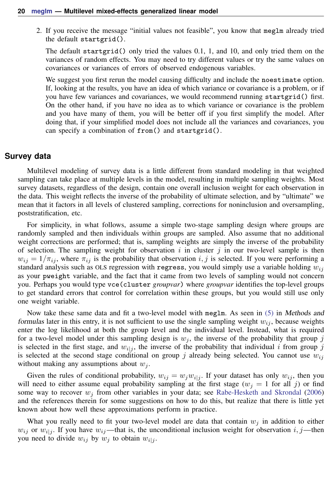2. If you receive the message "initial values not feasible", you know that meglm already tried the default startgrid().

The default startgrid() only tried the values 0.1, 1, and 10, and only tried them on the variances of random effects. You may need to try different values or try the same values on covariances or variances of errors of observed endogenous variables.

We suggest you first rerun the model causing difficulty and include the noestimate option. If, looking at the results, you have an idea of which variance or covariance is a problem, or if you have few variances and covariances, we would recommend running startgrid() first. On the other hand, if you have no idea as to which variance or covariance is the problem and you have many of them, you will be better off if you first simplify the model. After doing that, if your simplified model does not include all the variances and covariances, you can specify a combination of from() and startgrid().

## <span id="page-19-0"></span>**Survey data**

Multilevel modeling of survey data is a little different from standard modeling in that weighted sampling can take place at multiple levels in the model, resulting in multiple sampling weights. Most survey datasets, regardless of the design, contain one overall inclusion weight for each observation in the data. This weight reflects the inverse of the probability of ultimate selection, and by "ultimate" we mean that it factors in all levels of clustered sampling, corrections for noninclusion and oversampling, poststratification, etc.

For simplicity, in what follows, assume a simple two-stage sampling design where groups are randomly sampled and then individuals within groups are sampled. Also assume that no additional weight corrections are performed; that is, sampling weights are simply the inverse of the probability of selection. The sampling weight for observation i in cluster j in our two-level sample is then  $w_{ij} = 1/\pi_{ij}$ , where  $\pi_{ij}$  is the probability that observation i, j is selected. If you were performing a standard analysis such as OLS regression with regress, you would simply use a variable holding  $w_{ij}$ as your pweight variable, and the fact that it came from two levels of sampling would not concern you. Perhaps you would type vce(cluster *groupvar*) where *groupvar* identifies the top-level groups to get standard errors that control for correlation within these groups, but you would still use only one weight variable.

Now take these same data and fit a two-level model with meglm. As seen in [\(5\)](#page-28-3) in Methods and formulas later in this entry, it is not sufficient to use the single sampling weight  $w_{ij}$ , because weights enter the log likelihood at both the group level and the individual level. Instead, what is required for a two-level model under this sampling design is  $w_i$ , the inverse of the probability that group j is selected in the first stage, and  $w_{i|j}$ , the inverse of the probability that individual i from group j is selected at the second stage conditional on group j already being selected. You cannot use  $w_{ij}$ without making any assumptions about  $w_i$ .

Given the rules of conditional probability,  $w_{ij} = w_j w_{i|j}$ . If your dataset has only  $w_{ij}$ , then you will need to either assume equal probability sampling at the first stage  $(w<sub>j</sub> = 1$  for all j) or find some way to recover  $w_i$  from other variables in your data; see [Rabe-Hesketh and Skrondal](#page-29-14) ([2006\)](#page-29-14) and the references therein for some suggestions on how to do this, but realize that there is little yet known about how well these approximations perform in practice.

<span id="page-19-1"></span>What you really need to fit your two-level model are data that contain  $w_i$  in addition to either  $w_{ij}$  or  $w_{ij}$ . If you have  $w_{ij}$ —that is, the unconditional inclusion weight for observation i, j—then you need to divide  $w_{ij}$  by  $w_j$  to obtain  $w_{i|j}$ .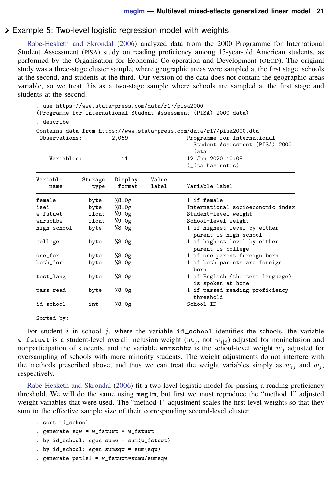#### Example 5: Two-level logistic regression model with weights

[Rabe-Hesketh and Skrondal](#page-29-14) ([2006\)](#page-29-14) analyzed data from the 2000 Programme for International Student Assessment (PISA) study on reading proficiency among 15-year-old American students, as performed by the Organisation for Economic Co-operation and Development (OECD). The original study was a three-stage cluster sample, where geographic areas were sampled at the first stage, schools at the second, and students at the third. Our version of the data does not contain the geographic-areas variable, so we treat this as a two-stage sample where schools are sampled at the first stage and students at the second.

```
. use https://www.stata-press.com/data/r17/pisa2000
(Programme for International Student Assessment (PISA) 2000 data)
```
. describe

```
Contains data from https://www.stata-press.com/data/r17/pisa2000.dta
Observations: 2,069 Programme for International
                                         Student Assessment (PISA) 2000
                                          data
```

| Variables:       |                 | 11                |                | 12 Jun 2020 10:08<br>(_dta has notes)                 |
|------------------|-----------------|-------------------|----------------|-------------------------------------------------------|
| Variable<br>name | Storage<br>type | Display<br>format | Value<br>label | Variable label                                        |
| female           | byte            | %8.0g             |                | 1 if female                                           |
| isei             | byte            | %8.0g             |                | International socioeconomic index                     |
| w_fstuwt         | float           | %9.0g             |                | Student-level weight                                  |
| wnrschbw         | float           | $\frac{9.0g}{2}$  |                | School-level weight                                   |
| high_school      | byte            | %8.0g             |                | 1 if highest level by either<br>parent is high school |
| college          | byte            | %8.0g             |                | 1 if highest level by either<br>parent is college     |
| one_for          | byte            | %8.0g             |                | 1 if one parent foreign born                          |
| both_for         | byte            | %8.0g             |                | 1 if both parents are foreign<br>born                 |
| test_lang        | byte            | %8.0g             |                | 1 if English (the test language)<br>is spoken at home |
| pass_read        | byte            | %8.0g             |                | 1 if passed reading proficiency<br>threshold          |
| id_school        | int             | %8.0g             |                | School ID                                             |

Sorted by:

For student i in school j, where the variable  $id$  school identifies the schools, the variable w\_fstuwt is a student-level overall inclusion weight  $(w_{ij}, \text{ not } w_{i|j})$  adjusted for noninclusion and nonparticipation of students, and the variable wnrschbw is the school-level weight  $w_i$  adjusted for oversampling of schools with more minority students. The weight adjustments do not interfere with the methods prescribed above, and thus we can treat the weight variables simply as  $w_{ij}$  and  $w_j$ , respectively.

[Rabe-Hesketh and Skrondal](#page-29-14) ([2006](#page-29-14)) fit a two-level logistic model for passing a reading proficiency threshold. We will do the same using meglm, but first we must reproduce the "method 1" adjusted weight variables that were used. The "method 1" adjustment scales the first-level weights so that they sum to the effective sample size of their corresponding second-level cluster.

```
. sort id_school
```

```
. generate sqw = w_fstuwt * w_fstuwt
```
- . by  $id\_school$ : egen sumw = sum $(w\_fstuwt)$
- . by id\_school: egen sumsqw = sum(sqw)
- . generate  $pst1s1 = w_fstuvt*sumw/sumsqw$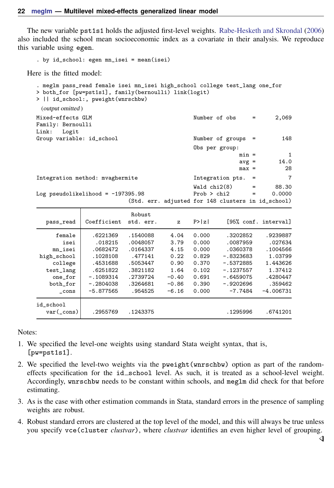The new variable pst1s1 holds the adjusted first-level weights. [Rabe-Hesketh and Skrondal](#page-29-14) ([2006\)](#page-29-14) also included the school mean socioeconomic index as a covariate in their analysis. We reproduce this variable using egen.

```
. by id_school: egen mn_isei = mean(isei)
```
Here is the fitted model:

```
. meglm pass_read female isei mn_isei high_school college test_lang one_for
> both_for [pw=pst1s1], family(bernoulli) link(logit)
> || id_school:, pweight(wnrschbw)
 (output omitted )
Mixed-effects GLM Number of obs = 2,069
Family: Bernoulli
Link: Logit
Group variable: id_school Number of groups = 148
                                            Obs per group:
                                                         min = 1<br>avg = 14.0
                                                         avg =max = 28
Integration method: mvaghermite Integration pts. = 7
                                            Wald chi2(8) = 88.30<br>Prob > chi2 = 0.0000Log pseudolikelihood = -197395.98(Std. err. adjusted for 148 clusters in id_school)
                           Robust
  pass_read Coefficient std. err. z P>|z| [95% conf. interval]
      female .6221369 .1540088 4.04 0.000 .3202852 .9239887
       isei .018215 .0048057 3.79 0.000 .0087959 .027634
    mn_isei .0682472 .0164337 4.15 0.000 .0360378 .1004566
high_school .1028108 .477141 0.22 0.829 -.8323683 1.03799
    college .4531688 .5053447 0.90 0.370 -.5372885 1.443626<br>st lang .6251822 .3821182 1.64 0.102 -.1237557 1.37412
   test_lang .6251822 .3821182 1.64 0.102 -.1237557 1.37412
    one_for | -.1089314 .2739724 -0.40 0.691 -.6459075 .4280447<br>ooth for | -.2804038 .3264681 -0.86 0.390 -.9202696 .359462
   both_for -.2804038 .3264681 -0.86 0.390 -.9202696 .359462<br>cons -5.877565 .954525 -6.16 0.000 -7.7484 -4.006731
      _cons -5.877565 .954525 -6.16 0.000 -7.7484 -4.006731
id_school
  var(_cons) .2955769 .1243375 .1295996 .6741201
```
Notes:

- 1. We specified the level-one weights using standard Stata weight syntax, that is, [pw=pst1s1].
- 2. We specified the level-two weights via the pweight (wnrschbw) option as part of the randomeffects specification for the id\_school level. As such, it is treated as a school-level weight. Accordingly, wnrschbw needs to be constant within schools, and meglm did check for that before estimating.
- 3. As is the case with other estimation commands in Stata, standard errors in the presence of sampling weights are robust.
- 4. Robust standard errors are clustered at the top level of the model, and this will always be true unless you specify vce(cluster *clustvar*), where *clustvar* identifies an even higher level of grouping.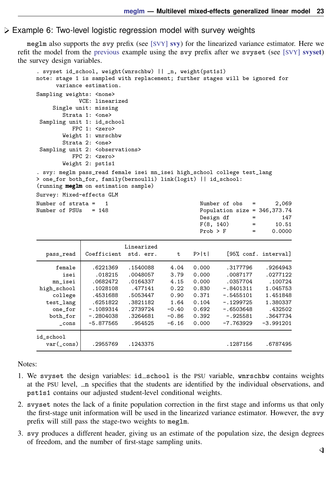#### Example 6: Two-level logistic regression model with survey weights

meglm also supports the svy prefix (see [[SVY](https://www.stata.com/manuals/svysvy.pdf#svysvy)] svy) for the linearized variance estimator. Here we refit the model from the [previous](#page-19-1) example using the svy prefix after we svyset (see [SVY] [svyset](https://www.stata.com/manuals/svysvyset.pdf#svysvyset)) the survey design variables.

```
. svyset id_school, weight(wnrschbw) || _n, weight(pst1s1)
note: stage 1 is sampled with replacement; further stages will be ignored for
      variance estimation.
Sampling weights: < none>
             VCE: linearized
     Single unit: missing
        Strata 1: <one>
 Sampling unit 1: id_school
          FPC 1: <zero>
        Weight 1: wnrschbw
        Strata 2: <one>
 Sampling unit 2: < observations>
           FPC 2: <zero>
        Weight 2: pst1s1
. svy: meglm pass read female isei mn_isei high_school college test lang
> one_for both_for, family(bernoulli) link(logit) || id_school:
(running meglm on estimation sample)
Survey: Mixed-effects GLM
Number of strata = 1<br>
Number of pSUs = 148<br>
Number of 2,069<br>
Number of 2,069Population size = 346.373.74Design df = 147<br>F(8, 140) = 10.51F(8, 140) = 10.51Prob > F = 0.0000
                           Linearized
   pass_read Coefficient std. err. t P>|t| [95% conf. interval]
      female .6221369 .1540088 4.04 0.000 .3177796 .9264943
        isei .018215 .0048057 3.79 0.000 .0087177 .0277122
 mn_isei .0682472 .0164337 4.15 0.000 .0357704 .100724<br>high_school .1028108 .477141 0.22 0.830 -.8401311 1.045753
                                       high_school .1028108 .477141 0.22 0.830 -.8401311 1.045753
```
both\_for -.2804038 .3264681 -0.86 0.392 -.925581 .3647734  $_{\rm cons}$  -5.877565 .954525 -6.16 0.000 -7.763929 -3.991201 id\_school var(\_cons) .2955769 .1243375 .1243375 .1243375 .6787495

Notes:

1. We svyset the design variables: id\_school is the PSU variable, wnrschbw contains weights at the PSU level,  $\Box$  specifies that the students are identified by the individual observations, and pst1s1 contains our adjusted student-level conditional weights.

college .4531688 .5053447 0.90 0.371 -.5455101 1.451848 test\_lang .6251822 .3821182 1.64 0.104 -.1299725 1.380337 one\_for -.1089314 .2739724 -0.40 0.692 -.6503648 .432502<br>both\_for -.2804038 .3264681 -0.86 0.392 -.925581 .3647734

- 2. svyset notes the lack of a finite population correction in the first stage and informs us that only the first-stage unit information will be used in the linearized variance estimator. However, the svy prefix will still pass the stage-two weights to meglm.
- 3. svy produces a different header, giving us an estimate of the population size, the design degrees of freedom, and the number of first-stage sampling units.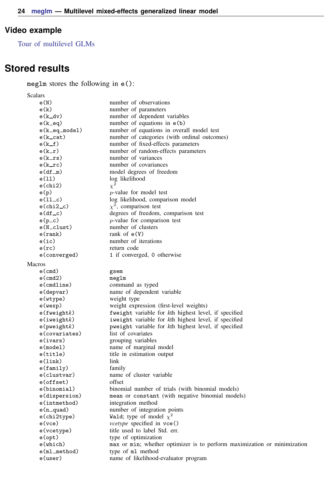## <span id="page-23-1"></span>**Video example**

<span id="page-23-0"></span>[Tour of multilevel GLMs](https://www.youtube.com/watch?v=SbwApki_BnI&feature=youtu.be)

# **Stored results**

meglm stores the following in e():

| Scalars            |                                                                          |
|--------------------|--------------------------------------------------------------------------|
| e(N)               | number of observations                                                   |
| e(k)               | number of parameters                                                     |
| $e(k_d v)$         | number of dependent variables                                            |
| $e(k$ $eq)$        | number of equations in $e(b)$                                            |
| e(k_eq_model)      | number of equations in overall model test                                |
| $e(k_{cat})$       | number of categories (with ordinal outcomes)                             |
| $e(k_f)$           | number of fixed-effects parameters                                       |
| $e(k_r)$           | number of random-effects parameters                                      |
| $e(k_{rs})$        | number of variances                                                      |
| $e(k_{\text{rc}})$ | number of covariances                                                    |
| $e(df_m)$          | model degrees of freedom                                                 |
| e(11)              | log likelihood                                                           |
| $e$ (chi2)         | $\chi^2$                                                                 |
| e(p)               | $p$ -value for model test                                                |
| $e(11-c)$          | log likelihood, comparison model                                         |
| $e$ (chi $2-c$ )   | $\chi^2$ , comparison test                                               |
| $e(df_c)$          | degrees of freedom, comparison test                                      |
| $e(p\_c)$          | $p$ -value for comparison test                                           |
| e(N_clust)         | number of clusters                                                       |
| e(rank)            | rank of $e(V)$                                                           |
| e(ic)              | number of iterations                                                     |
| $e$ (rc)           | return code                                                              |
| e(converged)       | 1 if converged, 0 otherwise                                              |
| Macros             |                                                                          |
| $e$ (cmd)          | gsem                                                                     |
| $e$ (cmd2)         | meglm                                                                    |
| $e$ (cmdline)      | command as typed                                                         |
| e(depvar)          | name of dependent variable                                               |
| e(wtype)           | weight type                                                              |
| e(wexp)            | weight expression (first-level weights)                                  |
| $e$ (fweight $k$ ) | fweight variable for kth highest level, if specified                     |
| e(iweight)         | iweight variable for kth highest level, if specified                     |
| $e$ (pweight $k$ ) | pweight variable for kth highest level, if specified                     |
| e(covariates)      | list of covariates                                                       |
| e(ivars)           | grouping variables                                                       |
| e(model)           | name of marginal model                                                   |
| e(title)           | title in estimation output                                               |
| e(link)            | link                                                                     |
| e(family)          | family                                                                   |
| e(clustvar)        | name of cluster variable                                                 |
| $e$ (offset)       | offset                                                                   |
| e(binomial)        | binomial number of trials (with binomial models)                         |
| e(dispersion)      | mean or constant (with negative binomial models)                         |
| e(intmethod)       | integration method                                                       |
| $e(n$ quad)        | number of integration points                                             |
| e(chi2type)        | Wald; type of model $\chi^2$                                             |
| $e$ ( $vce$ )      | <i>vcetype</i> specified in vce()                                        |
| e(vcetype)         | title used to label Std. err.                                            |
| $e$ (opt)          | type of optimization                                                     |
| $e(\text{which})$  | max or min; whether optimizer is to perform maximization or minimization |
| $e(ml_{method})$   | type of m1 method                                                        |
| e(user)            | name of likelihood-evaluator program                                     |
|                    |                                                                          |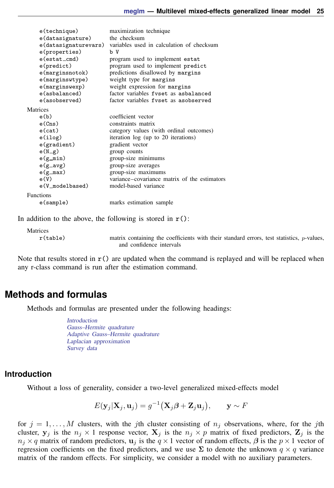| e(technique)         | maximization technique                       |
|----------------------|----------------------------------------------|
| e(datasignature)     | the checksum                                 |
| e(datasignaturevars) | variables used in calculation of checksum    |
| e(properties)        | b V                                          |
| e(estat_cmd)         | program used to implement estat              |
| e(predict)           | program used to implement predict            |
| $e$ (marginsnotok)   | predictions disallowed by margins            |
| e(marginswtype)      | weight type for margins                      |
| e(marginswexp)       | weight expression for margins                |
| e(asbalanced)        | factor variables fyset as asbalanced         |
| e(asobserved)        | factor variables fyset as a sobserved        |
| Matrices             |                                              |
| e(b)                 | coefficient vector                           |
| e(Cns)               | constraints matrix                           |
| $e$ (cat)            | category values (with ordinal outcomes)      |
| e(ilog)              | iteration log (up to 20 iterations)          |
| e(gradient)          | gradient vector                              |
| $e(N_g)$             | group counts                                 |
| $e(g_{min})$         | group-size minimums                          |
| $e(g_{\text{avg}})$  | group-size averages                          |
| $e(g_max)$           | group-size maximums                          |
| e(V)                 | variance–covariance matrix of the estimators |
| e(V_modelbased)      | model-based variance                         |
| <b>Functions</b>     |                                              |
| e(sample)            | marks estimation sample                      |
|                      |                                              |

In addition to the above, the following is stored in  $r()$ :

```
Matrices
```
r(table) matrix containing the coefficients with their standard errors, test statistics, p-values, and confidence intervals

<span id="page-24-0"></span>Note that results stored in  $r()$  are updated when the command is replayed and will be replaced when any r-class command is run after the estimation command.

## **Methods and formulas**

Methods and formulas are presented under the following headings:

[Introduction](#page-24-1) [Gauss–Hermite quadrature](#page-25-0) [Adaptive Gauss–Hermite quadrature](#page-26-0) [Laplacian approximation](#page-27-0) [Survey data](#page-28-4)

## <span id="page-24-1"></span>**Introduction**

Without a loss of generality, consider a two-level generalized mixed-effects model

$$
E(\mathbf{y}_j|\mathbf{X}_j, \mathbf{u}_j) = g^{-1}(\mathbf{X}_j\boldsymbol{\beta} + \mathbf{Z}_j\mathbf{u}_j), \qquad \mathbf{y} \sim F
$$

for  $j = 1, \ldots, M$  clusters, with the jth cluster consisting of  $n_j$  observations, where, for the jth cluster,  $y_j$  is the  $n_j \times 1$  response vector,  $X_j$  is the  $n_j \times p$  matrix of fixed predictors,  $Z_j$  is the  $n_j \times q$  matrix of random predictors,  $u_j$  is the  $q \times 1$  vector of random effects,  $\beta$  is the  $p \times 1$  vector of regression coefficients on the fixed predictors, and we use  $\Sigma$  to denote the unknown  $q \times q$  variance matrix of the random effects. For simplicity, we consider a model with no auxiliary parameters.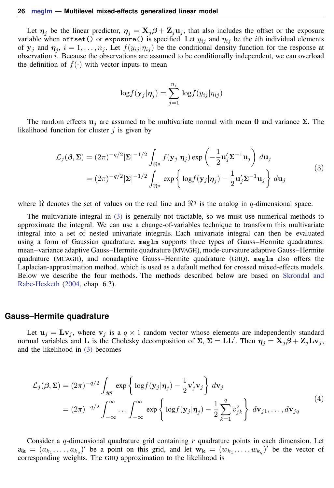Let  $\eta_j$  be the linear predictor,  $\eta_j = X_j \beta + Z_j u_j$ , that also includes the offset or the exposure variable when offset() or exposure() is specified. Let  $y_{ij}$  and  $\eta_{ij}$  be the *i*th individual elements of  $y_j$  and  $\eta_j$ ,  $i = 1, ..., n_j$ . Let  $f(y_{ij} | \eta_{ij})$  be the conditional density function for the response at observation  $\hat{i}$ . Because the observations are assumed to be conditionally independent, we can overload the definition of  $f(\cdot)$  with vector inputs to mean

$$
\log f(\mathbf{y}_j|\boldsymbol{\eta}_j) = \sum_{j=1}^{n_i} \log f(y_{ij}|\eta_{ij})
$$

<span id="page-25-1"></span>The random effects  $\mathbf{u}_i$  are assumed to be multivariate normal with mean 0 and variance  $\Sigma$ . The likelihood function for cluster  $j$  is given by

$$
\mathcal{L}_{j}(\boldsymbol{\beta}, \boldsymbol{\Sigma}) = (2\pi)^{-q/2} |\boldsymbol{\Sigma}|^{-1/2} \int_{\Re^{q}} f(\mathbf{y}_{j} | \boldsymbol{\eta}_{j}) \exp\left(-\frac{1}{2} \mathbf{u}_{j}^{\prime} \boldsymbol{\Sigma}^{-1} \mathbf{u}_{j}\right) d\mathbf{u}_{j}
$$
  
=  $(2\pi)^{-q/2} |\boldsymbol{\Sigma}|^{-1/2} \int_{\Re^{q}} \exp\left\{\log f(\mathbf{y}_{j} | \boldsymbol{\eta}_{j}) - \frac{1}{2} \mathbf{u}_{j}^{\prime} \boldsymbol{\Sigma}^{-1} \mathbf{u}_{j}\right\} d\mathbf{u}_{j}$  (3)

where  $\Re$  denotes the set of values on the real line and  $\Re^q$  is the analog in q-dimensional space.

The multivariate integral in [\(3\)](#page-25-1) is generally not tractable, so we must use numerical methods to approximate the integral. We can use a change-of-variables technique to transform this multivariate integral into a set of nested univariate integrals. Each univariate integral can then be evaluated using a form of Gaussian quadrature. meglm supports three types of Gauss–Hermite quadratures: mean–variance adaptive Gauss–Hermite quadrature (MVAGH), mode-curvature adaptive Gauss–Hermite quadrature (MCAGH), and nonadaptive Gauss–Hermite quadrature (GHQ). meglm also offers the Laplacian-approximation method, which is used as a default method for crossed mixed-effects models. Below we describe the four methods. The methods described below are based on [Skrondal and](#page-29-15) [Rabe-Hesketh](#page-29-15) ([2004,](#page-29-15) chap. 6.3).

#### <span id="page-25-0"></span>**Gauss–Hermite quadrature**

<span id="page-25-2"></span>Let  $\mathbf{u}_j = \mathbf{L} \mathbf{v}_j$ , where  $\mathbf{v}_j$  is a  $q \times 1$  random vector whose elements are independently standard normal variables and L is the Cholesky decomposition of  $\Sigma$ ,  $\Sigma = LL'$ . Then  $\eta_j = X_j \beta + Z_j L v_j$ , and the likelihood in [\(3\)](#page-25-1) becomes

$$
\mathcal{L}_{j}(\boldsymbol{\beta}, \boldsymbol{\Sigma}) = (2\pi)^{-q/2} \int_{\mathbb{R}^{q}} \exp \left\{ \log f(\mathbf{y}_{j} | \boldsymbol{\eta}_{j}) - \frac{1}{2} \mathbf{v}_{j}^{\prime} \mathbf{v}_{j} \right\} d\mathbf{v}_{j}
$$
\n
$$
= (2\pi)^{-q/2} \int_{-\infty}^{\infty} \cdots \int_{-\infty}^{\infty} \exp \left\{ \log f(\mathbf{y}_{j} | \boldsymbol{\eta}_{j}) - \frac{1}{2} \sum_{k=1}^{q} v_{jk}^{2} \right\} d\mathbf{v}_{j1}, \dots, d\mathbf{v}_{jq}
$$
\n(4)

Consider a q-dimensional quadrature grid containing  $r$  quadrature points in each dimension. Let  $\mathbf{a_k} = (a_{k_1}, \ldots, a_{k_q})'$  be a point on this grid, and let  $\mathbf{w_k} = (w_{k_1}, \ldots, w_{k_q})'$  be the vector of corresponding weights. The GHQ approximation to the likelihood is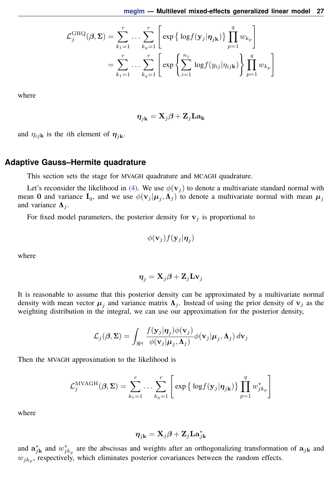$$
\mathcal{L}_{j}^{\text{GHQ}}(\beta, \Sigma) = \sum_{k_1=1}^{r} \dots \sum_{k_q=1}^{r} \left[ \exp \left\{ \log f(\mathbf{y}_j | \boldsymbol{\eta}_{j\mathbf{k}}) \right\} \prod_{p=1}^{q} w_{k_p} \right]
$$

$$
= \sum_{k_1=1}^{r} \dots \sum_{k_q=1}^{r} \left[ \exp \left\{ \sum_{i=1}^{n_j} \log f(y_{ij} | \eta_{ijk}) \right\} \prod_{p=1}^{q} w_{k_p} \right]
$$

where

$$
\boldsymbol{\eta}_{j\mathbf{k}}=\mathbf{X}_{j}\boldsymbol{\beta}+\mathbf{Z}_{j}\mathbf{L}\mathbf{a_{k}}
$$

<span id="page-26-0"></span>and  $\eta_{ijk}$  is the *i*th element of  $\eta_{ijk}$ .

#### **Adaptive Gauss–Hermite quadrature**

This section sets the stage for MVAGH quadrature and MCAGH quadrature.

Let's reconsider the likelihood in [\(4\).](#page-25-2) We use  $\phi(\mathbf{v}_j)$  to denote a multivariate standard normal with mean 0 and variance  $I_q$ , and we use  $\phi(\mathbf{v}_j|\boldsymbol{\mu}_j,\boldsymbol{\Lambda}_j)$  to denote a multivariate normal with mean  $\boldsymbol{\mu}_j$ and variance  $\Lambda_i$ .

For fixed model parameters, the posterior density for  $v_j$  is proportional to

$$
\phi(\mathbf{v}_j) f(\mathbf{y}_j | \boldsymbol{\eta}_j)
$$

where

$$
\boldsymbol{\eta}_j = \mathbf{X}_j\boldsymbol{\beta} + \mathbf{Z}_j\mathbf{Lv}_j
$$

It is reasonable to assume that this posterior density can be approximated by a multivariate normal density with mean vector  $\mu_j$  and variance matrix  $\Lambda_j$ . Instead of using the prior density of  $v_j$  as the weighting distribution in the integral, we can use our approximation for the posterior density,

$$
\mathcal{L}_j(\boldsymbol{\beta}, \boldsymbol{\Sigma}) = \int_{\Re^q} \frac{f(\mathbf{y}_j | \boldsymbol{\eta}_j) \phi(\mathbf{v}_j)}{\phi(\mathbf{v}_j | \boldsymbol{\mu}_j, \boldsymbol{\Lambda}_j)} \phi(\mathbf{v}_j | \boldsymbol{\mu}_j, \boldsymbol{\Lambda}_j) d\mathbf{v}_j
$$

Then the MVAGH approximation to the likelihood is

$$
\mathcal{L}_{j}^{\text{MVAGH}}(\boldsymbol{\beta}, \boldsymbol{\Sigma}) = \sum_{k_1=1}^{r} \ldots \sum_{k_q=1}^{r} \left[ \exp \left\{ \log f(\mathbf{y}_j | \boldsymbol{\eta}_{j\mathbf{k}}) \right\} \prod_{p=1}^{q} w_{j k_p}^* \right]
$$

where

$$
\boldsymbol{\eta}_{j\mathbf{k}} = \mathbf{X}_{j}\boldsymbol{\beta} + \mathbf{Z}_{j}\mathbf{L}\mathbf{a}_{j\mathbf{k}}^{*}
$$

and  $\mathbf{a}_{jk}^*$  and  $w_{jk_p}^*$  are the abscissas and weights after an orthogonalizing transformation of  $\mathbf{a}_{jk}$  and  $w_{jk_p}$ , respectively, which eliminates posterior covariances between the random effects.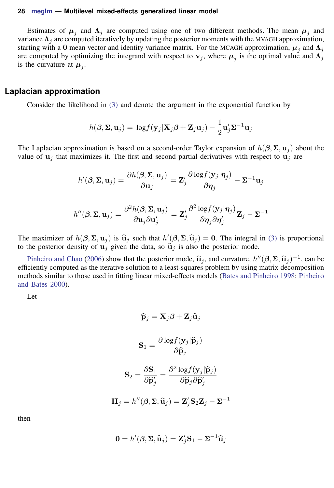Estimates of  $\mu_j$  and  $\Lambda_j$  are computed using one of two different methods. The mean  $\mu_j$  and variance  $\Lambda_i$  are computed iteratively by updating the posterior moments with the MVAGH approximation, starting with a 0 mean vector and identity variance matrix. For the MCAGH approximation,  $\mu_j$  and  $\Lambda_j$ are computed by optimizing the integrand with respect to  $v_j$ , where  $\mu_j$  is the optimal value and  $\Lambda_j$ is the curvature at  $\mu_j$ .

#### <span id="page-27-0"></span>**Laplacian approximation**

Consider the likelihood in [\(3\)](#page-25-1) and denote the argument in the exponential function by

$$
h(\boldsymbol{\beta}, \mathbf{\Sigma}, \mathbf{u}_j) = \log f(\mathbf{y}_j | \mathbf{X}_j \boldsymbol{\beta} + \mathbf{Z}_j \mathbf{u}_j) - \frac{1}{2} \mathbf{u}_j' \mathbf{\Sigma}^{-1} \mathbf{u}_j
$$

The Laplacian approximation is based on a second-order Taylor expansion of  $h(\beta, \Sigma, \mathbf{u}_i)$  about the value of  $\mathbf{u}_i$  that maximizes it. The first and second partial derivatives with respect to  $\mathbf{u}_i$  are

$$
h'(\boldsymbol{\beta}, \boldsymbol{\Sigma}, \mathbf{u}_j) = \frac{\partial h(\boldsymbol{\beta}, \boldsymbol{\Sigma}, \mathbf{u}_j)}{\partial \mathbf{u}_j} = \mathbf{Z}_j' \frac{\partial \log f(\mathbf{y}_j | \boldsymbol{\eta}_j)}{\partial \boldsymbol{\eta}_j} - \boldsymbol{\Sigma}^{-1} \mathbf{u}_j
$$

$$
h''(\boldsymbol{\beta}, \boldsymbol{\Sigma}, \mathbf{u}_j) = \frac{\partial^2 h(\boldsymbol{\beta}, \boldsymbol{\Sigma}, \mathbf{u}_j)}{\partial \mathbf{u}_j \partial \mathbf{u}_j'} = \mathbf{Z}_j' \frac{\partial^2 \log f(\mathbf{y}_j|\boldsymbol{\eta}_j)}{\partial \boldsymbol{\eta}_j \partial \boldsymbol{\eta}_j'} \mathbf{Z}_j - \boldsymbol{\Sigma}^{-1}
$$

The maximizer of  $h(\beta, \Sigma, \mathbf{u}_j)$  is  $\hat{\mathbf{u}}_j$  such that  $h'(\beta, \Sigma, \hat{\mathbf{u}}_j) = 0$ . The integral in [\(3\)](#page-25-1) is proportional to the posterior density of  $\mathbf{u}_j$  given the data so  $\hat{\mathbf{u}}_j$  is also the posterior mode to the posterior density of  $\mathbf{u}_i$  given the data, so  $\hat{\mathbf{u}}_i$  is also the posterior mode.

[Pinheiro and Chao](#page-29-0) [\(2006](#page-29-0)) show that the posterior mode,  $\hat{\mathbf{u}}_j$ , and curvature,  $h''(\beta, \Sigma, \hat{\mathbf{u}}_j)^{-1}$ , can be ciently computed as the iterative solution to a least-squares problem by using matrix decomposition efficiently computed as the iterative solution to a least-squares problem by using matrix decomposition methods similar to those used in fitting linear mixed-effects models [\(Bates and Pinheiro](#page-28-2) [1998](#page-28-2); [Pinheiro](#page-29-16) [and Bates](#page-29-16) [2000](#page-29-16)).

Let

$$
\hat{\mathbf{p}}_j = \mathbf{X}_j \boldsymbol{\beta} + \mathbf{Z}_j \hat{\mathbf{u}}_j
$$

$$
\mathbf{S}_1 = \frac{\partial \log f(\mathbf{y}_j | \hat{\mathbf{p}}_j)}{\partial \hat{\mathbf{p}}_j}
$$

$$
\mathbf{S}_2 = \frac{\partial \mathbf{S}_1}{\partial \hat{\mathbf{p}}'_j} = \frac{\partial^2 \log f(\mathbf{y}_j | \hat{\mathbf{p}}_j)}{\partial \hat{\mathbf{p}}_j \partial \hat{\mathbf{p}}'_j}
$$

$$
\mathbf{H}_j = h''(\boldsymbol{\beta}, \boldsymbol{\Sigma}, \hat{\mathbf{u}}_j) = \mathbf{Z}_j' \mathbf{S}_2 \mathbf{Z}_j - \boldsymbol{\Sigma}^{-1}
$$

then

$$
\mathbf{0} = h'(\boldsymbol{\beta}, \boldsymbol{\Sigma}, \widehat{\mathbf{u}}_j) = \mathbf{Z}_j' \mathbf{S}_1 - \boldsymbol{\Sigma}^{-1} \widehat{\mathbf{u}}_j
$$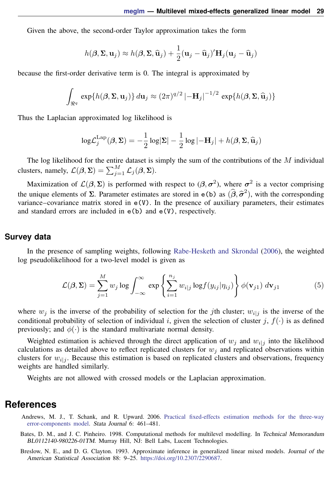Given the above, the second-order Taylor approximation takes the form

$$
h(\boldsymbol{\beta}, \boldsymbol{\Sigma}, \mathbf{u}_j) \approx h(\boldsymbol{\beta}, \boldsymbol{\Sigma}, \widehat{\mathbf{u}}_j) + \frac{1}{2}(\mathbf{u}_j - \widehat{\mathbf{u}}_j)' \mathbf{H}_j(\mathbf{u}_j - \widehat{\mathbf{u}}_j)
$$

because the first-order derivative term is 0. The integral is approximated by

$$
\int_{\Re^q} \exp\{h(\boldsymbol{\beta}, \boldsymbol{\Sigma}, \mathbf{u}_j)\} d\mathbf{u}_j \approx (2\pi)^{q/2} \left|-\mathbf{H}_j\right|^{-1/2} \exp\{h(\boldsymbol{\beta}, \boldsymbol{\Sigma}, \widehat{\mathbf{u}}_j)\}
$$

Thus the Laplacian approximated log likelihood is

$$
\log \mathcal{L}_j^{\text{Lap}}(\beta, \Sigma) = -\frac{1}{2} \log |\Sigma| - \frac{1}{2} \log |\mathbf{H}_j| + h(\beta, \Sigma, \widehat{\mathbf{u}}_j)
$$

The log likelihood for the entire dataset is simply the sum of the contributions of the  $M$  individual clusters, namely,  $\mathcal{L}(\beta, \Sigma) = \sum_{j=1}^{M} \mathcal{L}_j(\beta, \Sigma)$ .

Maximization of  $\mathcal{L}(\beta, \Sigma)$  is performed with respect to  $(\beta, \sigma^2)$ , where  $\sigma^2$  is a vector comprising the unique elements of Σ. Parameter estimates are stored in  $e(b)$  as  $(\hat{\beta}, \hat{\sigma}^2)$ , with the corresponding variance–covariance matrix stored in  $e(V)$ . In the presence of auxiliary parameters, their estimates variance–covariance matrix stored in e(V). In the presence of auxiliary parameters, their estimates and standard errors are included in  $e(b)$  and  $e(V)$ , respectively.

#### <span id="page-28-4"></span>**Survey data**

In the presence of sampling weights, following [Rabe-Hesketh and Skrondal](#page-29-14) ([2006\)](#page-29-14), the weighted log pseudolikelihood for a two-level model is given as

<span id="page-28-3"></span>
$$
\mathcal{L}(\beta, \Sigma) = \sum_{j=1}^{M} w_j \log \int_{-\infty}^{\infty} \exp \left\{ \sum_{i=1}^{n_j} w_{i|j} \log f(y_{ij} | \eta_{ij}) \right\} \phi(\mathbf{v}_{j1}) d\mathbf{v}_{j1}
$$
(5)

where  $w_j$  is the inverse of the probability of selection for the *j*th cluster;  $w_{i|j}$  is the inverse of the conditional probability of selection of individual i, given the selection of cluster j,  $f(\cdot)$  is as defined previously; and  $\phi(\cdot)$  is the standard multivariate normal density.

Weighted estimation is achieved through the direct application of  $w_j$  and  $w_{i|j}$  into the likelihood calculations as detailed above to reflect replicated clusters for  $w_j$  and replicated observations within clusters for  $w_{i|j}$ . Because this estimation is based on replicated clusters and observations, frequency weights are handled similarly.

<span id="page-28-0"></span>Weights are not allowed with crossed models or the Laplacian approximation.

## **References**

- Andrews, M. J., T. Schank, and R. Upward. 2006. [Practical fixed-effects estimation methods for the three-way](http://www.stata-journal.com/article.html?article=st0112) [error-components model.](http://www.stata-journal.com/article.html?article=st0112) Stata Journal 6: 461–481.
- <span id="page-28-2"></span>Bates, D. M., and J. C. Pinheiro. 1998. Computational methods for multilevel modelling. In Technical Memorandum BL0112140-980226-01TM. Murray Hill, NJ: Bell Labs, Lucent Technologies.
- <span id="page-28-1"></span>Breslow, N. E., and D. G. Clayton. 1993. Approximate inference in generalized linear mixed models. Journal of the American Statistical Association 88: 9–25. [https://doi.org/10.2307/2290687.](https://doi.org/10.2307/2290687)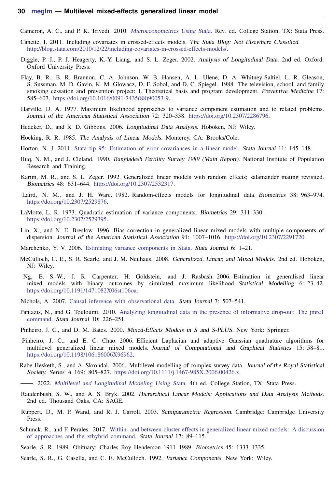Cameron, A. C., and P. K. Trivedi. 2010. [Microeconometrics Using Stata](http://www.stata-press.com/books/musr.html). Rev. ed. College Station, TX: Stata Press.

- Canette, I. 2011. Including covariates in crossed-effects models. The Stata Blog: Not Elsewhere Classified. <http://blog.stata.com/2010/12/22/including-covariates-in-crossed-effects-models/>.
- <span id="page-29-10"></span>Diggle, P. J., P. J. Heagerty, K.-Y. Liang, and S. L. Zeger. 2002. Analysis of Longitudinal Data. 2nd ed. Oxford: Oxford University Press.
- <span id="page-29-12"></span>Flay, B. R., B. R. Brannon, C. A. Johnson, W. B. Hansen, A. L. Ulene, D. A. Whitney-Saltiel, L. R. Gleason, S. Sussman, M. D. Gavin, K. M. Glowacz, D. F. Sobol, and D. C. Spiegel. 1988. The television, school, and family smoking cessation and prevention project: I. Theoretical basis and program development. Preventive Medicine 17: 585–607. [https://doi.org/10.1016/0091-7435\(88\)90053-9](https://doi.org/10.1016/0091-7435(88)90053-9).
- Harville, D. A. 1977. Maximum likelihood approaches to variance component estimation and to related problems. Journal of the American Statistical Association 72: 320–338. <https://doi.org/10.2307/2286796>.
- <span id="page-29-3"></span>Hedeker, D., and R. D. Gibbons. 2006. Longitudinal Data Analysis. Hoboken, NJ: Wiley.
- Hocking, R. R. 1985. The Analysis of Linear Models. Monterey, CA: Brooks/Cole.
- Horton, N. J. 2011. [Stata tip 95: Estimation of error covariances in a linear model.](http://www.stata-journal.com/article.html?article=st0222) Stata Journal 11: 145–148.
- <span id="page-29-11"></span>Huq, N. M., and J. Cleland. 1990. Bangladesh Fertility Survey 1989 (Main Report). National Institute of Population Research and Training.
- <span id="page-29-13"></span>Karim, M. R., and S. L. Zeger. 1992. Generalized linear models with random effects; salamander mating revisited. Biometrics 48: 631–644. <https://doi.org/10.2307/2532317>.
- <span id="page-29-8"></span>Laird, N. M., and J. H. Ware. 1982. Random-effects models for longitudinal data. Biometrics 38: 963–974. <https://doi.org/10.2307/2529876>.
- LaMotte, L. R. 1973. Quadratic estimation of variance components. Biometrics 29: 311–330. <https://doi.org/10.2307/2529395>.
- <span id="page-29-6"></span>Lin, X., and N. E. Breslow. 1996. Bias correction in generalized linear mixed models with multiple components of dispersion. Journal of the American Statistical Association 91: 1007–1016. [https://doi.org/10.2307/2291720.](https://doi.org/10.2307/2291720)
- Marchenko, Y. V. 2006. [Estimating variance components in Stata](http://www.stata-journal.com/article.html?article=st0095). Stata Journal 6: 1–21.
- <span id="page-29-4"></span>McCulloch, C. E., S. R. Searle, and J. M. Neuhaus. 2008. Generalized, Linear, and Mixed Models. 2nd ed. Hoboken, NJ: Wiley.
- <span id="page-29-7"></span>Ng, E. S.-W., J. R. Carpenter, H. Goldstein, and J. Rasbash. 2006. Estimation in generalised linear mixed models with binary outcomes by simulated maximum likelihood. Statistical Modelling 6: 23–42. [https://doi.org/10.1191/1471082X06st106oa.](https://doi.org/10.1191/1471082X06st106oa)
- Nichols, A. 2007. [Causal inference with observational data](http://www.stata-journal.com/article.html?article=st0136). Stata Journal 7: 507–541.
- Pantazis, N., and G. Touloumi. 2010. [Analyzing longitudinal data in the presence of informative drop-out: The jmre1](http://www.stata-journal.com/article.html?article=st0190) [command](http://www.stata-journal.com/article.html?article=st0190). Stata Journal 10: 226–251.
- <span id="page-29-16"></span>Pinheiro, J. C., and D. M. Bates. 2000. Mixed-Effects Models in S and S-PLUS. New York: Springer.
- <span id="page-29-0"></span>Pinheiro, J. C., and E. C. Chao. 2006. Efficient Laplacian and adaptive Gaussian quadrature algorithms for multilevel generalized linear mixed models. Journal of Computational and Graphical Statistics 15: 58–81. [https://doi.org/10.1198/106186006X96962.](https://doi.org/10.1198/106186006X96962)
- <span id="page-29-14"></span>Rabe-Hesketh, S., and A. Skrondal. 2006. Multilevel modelling of complex survey data. Journal of the Royal Statistical Society, Series A 169: 805–827. <https://doi.org/10.1111/j.1467-985X.2006.00426.x>.
- <span id="page-29-5"></span>. 2022. [Multilevel and Longitudinal Modeling Using Stata](http://www.stata-press.com/books/multilevel-longitudinal-modeling-stata/). 4th ed. College Station, TX: Stata Press.
- <span id="page-29-2"></span>Raudenbush, S. W., and A. S. Bryk. 2002. Hierarchical Linear Models: Applications and Data Analysis Methods. 2nd ed. Thousand Oaks, CA: SAGE.
- <span id="page-29-9"></span>Ruppert, D., M. P. Wand, and R. J. Carroll. 2003. Semiparametric Regression. Cambridge: Cambridge University Press.
- Schunck, R., and F. Perales. 2017. [Within- and between-cluster effects in generalized linear mixed models: A discussion](http://www.stata-journal.com/article.html?article=st0468) [of approaches and the xthybrid command.](http://www.stata-journal.com/article.html?article=st0468) Stata Journal 17: 89–115.
- Searle, S. R. 1989. Obituary: Charles Roy Henderson 1911–1989. Biometrics 45: 1333–1335.
- <span id="page-29-15"></span><span id="page-29-1"></span>Searle, S. R., G. Casella, and C. E. McCulloch. 1992. Variance Components. New York: Wiley.